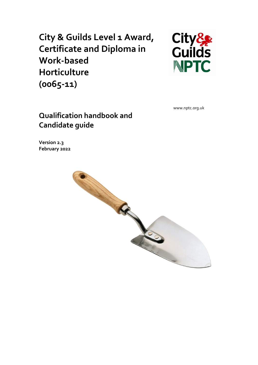**City & Guilds Level 1 Award, Certificate and Diploma in Work-based Horticulture (0065-11)**



www.nptc.org.uk

# **Qualification handbook and Candidate guide**

**Version 2.3 February 2022**

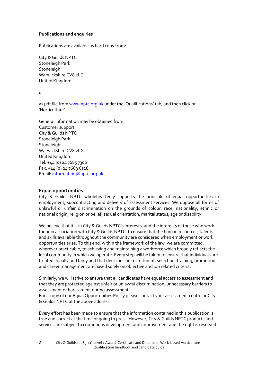### **Publications and enquiries**

Publications are available as hard copy from:

City & Guilds NPTC Stoneleigh Park Stoneleigh Warwickshire CV8 2LG United Kingdom

or

as pdf file from [www.nptc.org.uk](http://www.nptc.org.uk/) under the 'Qualifications' tab, and then click on 'Horticulture'.

General information may be obtained from: Customer support City & Guilds NPTC Stoneleigh Park Stoneleigh Warwickshire CV8 2LG United Kingdom Tel: +44 (0) 24 7685 7300 Fax: +44 (0) 24 7669 6128 Email[: information@nptc.org.uk](mailto:information@nptc.org.uk)

### **Equal opportunities**

City & Guilds NPTC wholeheartedly supports the principle of equal opportunities in employment, subcontracting and delivery of assessment services. We oppose all forms of unlawful or unfair discrimination on the grounds of colour, race, nationality, ethnic or national origin, religion or belief, sexual orientation, marital status, age or disability.

We believe that it is in City & Guilds NPTC's interests, and the interests of those who work for or in association with City & Guilds NPTC, to ensure that the human resources, talents and skills available throughout the community are considered when employment or work opportunities arise. To this end, within the framework of the law, we are committed, wherever practicable, to achieving and maintaining a workforce which broadly reflects the local community in which we operate. Every step will be taken to ensure that individuals are treated equally and fairly and that decisions on recruitment, selection, training, promotion and career management are based solely on objective and job related criteria.

Similarly, we will strive to ensure that all candidates have equal access to assessment and that they are protected against unfair or unlawful discrimination, unnecessary barriers to assessment or harassment during assessment.

For a copy of our Equal Opportunities Policy please contact your assessment centre or City & Guilds NPTC at the above address.

Every effort has been made to ensure that the information contained in this publication is true and correct at the time of going to press. However, City & Guilds NPTC products and services are subject to continuous development and improvement and the right is reserved

2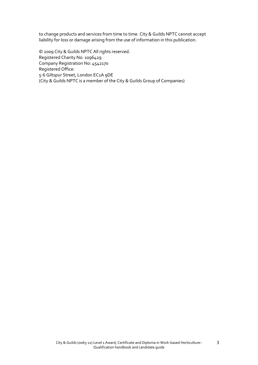to change products and services from time to time. City & Guilds NPTC cannot accept liability for loss or damage arising from the use of information in this publication.

© 2009 City & Guilds NPTC All rights reserved. Registered Charity No: 1096429 Company Registration No: 4542170 Registered Office: 5-6 Giltspur Street, London EC1A 9DE (City & Guilds NPTC is a member of the City & Guilds Group of Companies)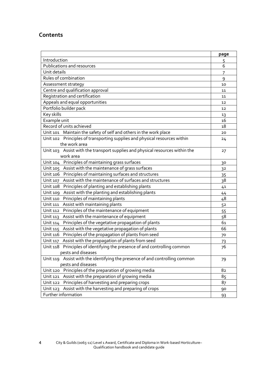## **Contents**

|                                                                                | page           |  |  |  |
|--------------------------------------------------------------------------------|----------------|--|--|--|
| Introduction                                                                   |                |  |  |  |
| Publications and resources                                                     |                |  |  |  |
| Unit details                                                                   | $\overline{7}$ |  |  |  |
| Rules of combination                                                           | 9              |  |  |  |
| Assessment strategy                                                            | 10             |  |  |  |
| Centre and qualification approval                                              | 11             |  |  |  |
| Registration and certification                                                 | 11             |  |  |  |
| Appeals and equal opportunities                                                | 12             |  |  |  |
| Portfolio builder pack                                                         | 12             |  |  |  |
| Key skills                                                                     | 13             |  |  |  |
| Example unit                                                                   | 16             |  |  |  |
| Record of units achieved                                                       | 18             |  |  |  |
| Unit 101 Maintain the safety of self and others in the work place              | 20             |  |  |  |
| Unit 102 Principles of transporting supplies and physical resources within     | 24             |  |  |  |
| the work area                                                                  |                |  |  |  |
| Unit 103 Assist with the transport supplies and physical resources within the  | 27             |  |  |  |
| work area                                                                      |                |  |  |  |
| Unit 104 Principles of maintaining grass surfaces                              | 30             |  |  |  |
| Unit 105 Assist with the maintenance of grass surfaces                         | 32             |  |  |  |
| Unit 106 Principles of maintaining surfaces and structures                     | 35             |  |  |  |
| Assist with the maintenance of surfaces and structures<br>Unit 107             | 38             |  |  |  |
| Unit 108<br>Principles of planting and establishing plants                     | 41             |  |  |  |
| Unit 109 Assist with the planting and establishing plants                      | 44             |  |  |  |
| Principles of maintaining plants<br>Unit 110                                   | 48             |  |  |  |
| Assist with maintaining plants<br>Unit 111                                     | 52             |  |  |  |
| Principles of the maintenance of equipment<br>Unit 112                         | 55             |  |  |  |
| Assist with the maintenance of equipment<br>Unit 113                           | 58             |  |  |  |
| Principles of the vegetative propagation of plants<br>Unit 114                 | 61             |  |  |  |
| Assist with the vegetative propagation of plants<br>Unit 115                   | 66             |  |  |  |
| Principles of the propagation of plants from seed<br>Unit 116                  | 70             |  |  |  |
| Assist with the propagation of plants from seed<br>Unit 117                    | 73             |  |  |  |
| Unit 118 Principles of identifying the presence of and controlling common      | 76             |  |  |  |
| pests and diseases                                                             |                |  |  |  |
| Assist with the identifying the presence of and controlling common<br>Unit 119 | 79             |  |  |  |
| pests and diseases<br>82                                                       |                |  |  |  |
| Unit 120 Principles of the preparation of growing media                        |                |  |  |  |
| Assist with the preparation of growing media<br>Unit 121                       | 85             |  |  |  |
| Principles of harvesting and preparing crops<br><b>Unit 122</b>                | 87             |  |  |  |
| Assist with the harvesting and preparing of crops<br>Unit 123                  |                |  |  |  |
| Further information                                                            |                |  |  |  |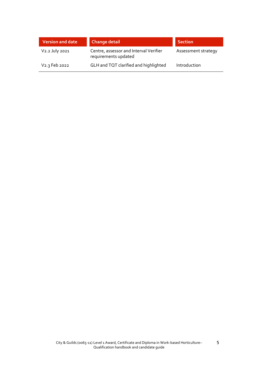| <b>Version and date</b>    | <b>Change detail</b>                                           | <b>Section</b>      |
|----------------------------|----------------------------------------------------------------|---------------------|
| V <sub>2.2</sub> July 2021 | Centre, assessor and Interval Verifier<br>requirements updated | Assessment strategy |
| V <sub>2.3</sub> Feb 2022  | GLH and TQT clarified and highlighted                          | Introduction        |

5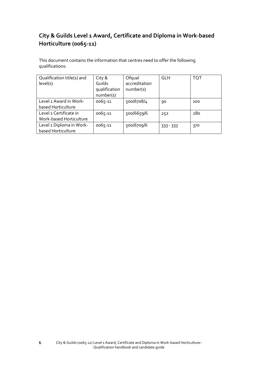## **City & Guilds Level 1 Award, Certificate and Diploma in Work-based Horticulture (0065-11)**

This document contains the information that centres need to offer the following qualifications:

| Qualification title(s) and<br>level(s) | City &<br>Guilds<br>qualification<br>number(s) | Ofqual<br>accreditation<br>number(s) | <b>GLH</b>  | <b>TOT</b> |
|----------------------------------------|------------------------------------------------|--------------------------------------|-------------|------------|
| Level 1 Award in Work-                 | 0065-11                                        | 500/6708/4                           | 90          | 100        |
| based Horticulture                     |                                                |                                      |             |            |
| Level 1 Certificate in                 | 0065-11                                        | 500/6659/6                           | 252         | 280        |
| <b>Work-based Horticulture</b>         |                                                |                                      |             |            |
| Level 1 Diploma in Work-               | 0065-11                                        | 500/6709/6                           | $333 - 333$ | 370        |
| based Horticulture                     |                                                |                                      |             |            |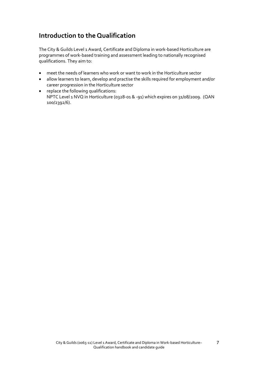# **Introduction to the Qualification**

The City & Guilds Level 1 Award, Certificate and Diploma in work-based Horticulture are programmes of work-based training and assessment leading to nationally recognised qualifications. They aim to:

- meet the needs of learners who work or want to work in the Horticulture sector
- allow learners to learn, develop and practise the skills required for employment and/or career progression in the Horticulture sector
- replace the following qualifications: NPTC Level 1 NVQ in Horticulture (0328-01 & -91) which expires on 31/08/2009. (QAN 100/2392/6).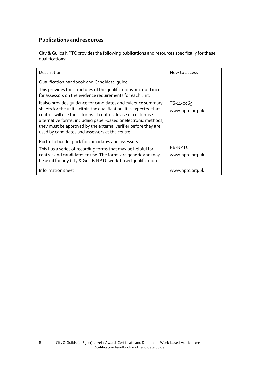### **Publications and resources**

City & Guilds NPTC provides the following publications and resources specifically for these qualifications:

| Description                                                                                                                                                                                                                                                                                                                                                                                 | How to access                     |
|---------------------------------------------------------------------------------------------------------------------------------------------------------------------------------------------------------------------------------------------------------------------------------------------------------------------------------------------------------------------------------------------|-----------------------------------|
| Qualification handbook and Candidate quide<br>This provides the structures of the qualifications and quidance<br>for assessors on the evidence requirements for each unit.                                                                                                                                                                                                                  |                                   |
| It also provides quidance for candidates and evidence summary<br>sheets for the units within the qualification. It is expected that<br>centres will use these forms. If centres devise or customise<br>alternative forms, including paper-based or electronic methods,<br>they must be approved by the external verifier before they are<br>used by candidates and assessors at the centre. | TS-11-0065<br>www.nptc.org.uk     |
| Portfolio builder pack for candidates and assessors<br>This has a series of recording forms that may be helpful for<br>centres and candidates to use. The forms are generic and may<br>be used for any City & Guilds NPTC work-based qualification.                                                                                                                                         | <b>PB-NPTC</b><br>www.nptc.org.uk |
| Information sheet                                                                                                                                                                                                                                                                                                                                                                           | www.nptc.org.uk                   |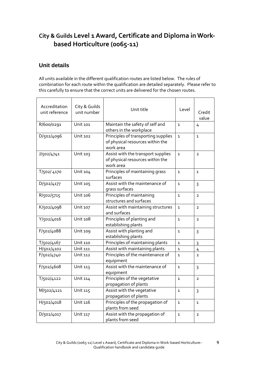# **City & Guilds Level 1 Award, Certificate and Diploma in Workbased Horticulture (0065-11)**

## **Unit details**

All units available in the different qualification routes are listed below. The rules of combination for each route within the qualification are detailed separately. Please refer to this carefully to ensure that the correct units are delivered for the chosen routes.

| Accreditation<br>unit reference | City & Guilds<br>unit number | Unit title                                                                           | Level        | Credit<br>value |
|---------------------------------|------------------------------|--------------------------------------------------------------------------------------|--------------|-----------------|
| R/600/0291                      | Unit 101                     | Maintain the safety of self and<br>others in the workplace                           | $\mathbf{1}$ | 4               |
| D/502/4096                      | <b>Unit 102</b>              | Principles of transporting supplies<br>of physical resources within the<br>work area | $\mathbf{1}$ | $\mathbf{1}$    |
| J/502/4741                      | Unit 103                     | Assist with the transport supplies<br>of physical resources within the<br>work area  | $\mathbf{1}$ | $\overline{2}$  |
| T/502/4170                      | Unit 104                     | Principles of maintaining grass<br>surfaces                                          | $\mathbf{1}$ | $\mathbf{1}$    |
| D/502/4177                      | Unit 105                     | Assist with the maintenance of<br>grass surfaces                                     | $\mathbf{1}$ | $\overline{3}$  |
| R/502/5715                      | Unit 106                     | Principles of maintaining<br>structures and surfaces                                 | $\mathbf{1}$ | $\overline{2}$  |
| K/502/4098                      | Unit 107                     | Assist with maintaining structures<br>and surfaces                                   | $\mathbf{1}$ | $\overline{2}$  |
| Y/502/4016                      | Unit 108                     | Principles of planting and<br>establishing plants                                    | $\mathbf{1}$ | $\overline{2}$  |
| F/502/4088                      | Unit 109                     | Assist with planting and<br>establishing plants                                      | $\mathbf{1}$ | $\overline{3}$  |
| T/502/4167                      | Unit 110                     | Principles of maintaining plants                                                     | $\mathbf{1}$ | 3               |
| H/502/4102                      | Unit 111                     | Assist with maintaining plants                                                       | $\mathbf{1}$ | 4               |
| F/502/4740                      | Unit 112                     | Principles of the maintenance of<br>equipment                                        | $\mathbf{1}$ | $\overline{2}$  |
| F/502/4608                      | Unit 113                     | Assist with the maintenance of<br>equipment                                          | $\mathbf{1}$ | $\overline{3}$  |
| T/502/4122                      | Unit 114                     | Principles of the vegetative<br>propagation of plants                                | $\mathbf{1}$ | $\overline{2}$  |
| M/502/4121                      | Unit 115                     | Assist with the vegetative<br>propagation of plants                                  | $\mathbf{1}$ | $\overline{3}$  |
| H/502/4018                      | Unit 116                     | Principles of the propagation of<br>plants from seed                                 | $\mathbf{1}$ | $\mathbf{1}$    |
| D/502/4017                      | Unit 117                     | Assist with the propagation of<br>plants from seed                                   | $\mathbf{1}$ | $\overline{2}$  |

9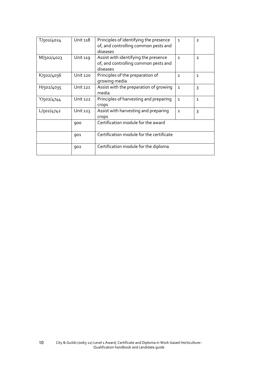| T/502/4024 | Unit 118        | Principles of identifying the presence<br>of, and controlling common pests and<br>diseases | $\mathbf{1}$ | $\overline{2}$ |
|------------|-----------------|--------------------------------------------------------------------------------------------|--------------|----------------|
| M/502/4023 | Unit 119        | Assist with identifying the presence<br>of, and controlling common pests and<br>diseases   | $\mathbf{1}$ | $\overline{2}$ |
| K/502/4036 | <b>Unit 120</b> | Principles of the preparation of<br>$\mathbf{1}$<br>growing media                          |              | 1              |
| H/502/4035 | <b>Unit 121</b> | Assist with the preparation of growing<br>media                                            | $\mathbf{1}$ | 3              |
| Y/502/4744 | Unit 122        | Principles of harvesting and preparing<br>crops                                            | $\mathbf{1}$ | 1              |
| L/502/4742 | Unit 123        | Assist with harvesting and preparing<br>crops                                              | $\mathbf{1}$ | 3              |
|            | 900             | Certification module for the award                                                         |              |                |
| 901        |                 | Certification module for the certificate                                                   |              |                |
|            | 902             | Certification module for the diploma                                                       |              |                |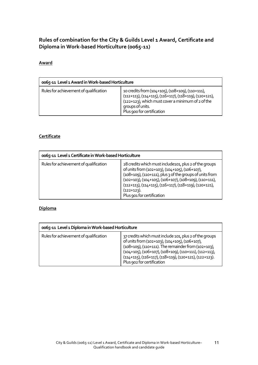## **Rules of combination for the City & Guilds Level 1 Award, Certificate and Diploma in Work-based Horticulture (0065-11)**

### **Award**

| 0065-11 Level 1 Award in Work-based Horticulture                                                                                                                                                                                                                           |  |  |
|----------------------------------------------------------------------------------------------------------------------------------------------------------------------------------------------------------------------------------------------------------------------------|--|--|
| Rules for achievement of qualification<br>10 credits from (104+105), (108+109), (110+111),<br>$(112+113)$ , $(114+115)$ , $(116+117)$ , $(118+119)$ , $(120+121)$ ,<br>(122+123), which must cover a minimum of 2 of the<br>groups of units.<br>Plus 900 for certification |  |  |

### **Certificate**

| 0065-11 Level 1 Certificate in Work-based Horticulture                                                                                                                                                                                                                                                                                                                                                                |  |  |
|-----------------------------------------------------------------------------------------------------------------------------------------------------------------------------------------------------------------------------------------------------------------------------------------------------------------------------------------------------------------------------------------------------------------------|--|--|
| 28 credits which must include101, plus 2 of the groups<br>Rules for achievement of qualification<br>of units from (102+103), (104+105), (106+107),<br>$(108+109)$ , $(110+111)$ , plus 3 of the groups of units from<br>$(102+103)$ , $(104+105)$ , $(106+107)$ , $(108+109)$ , $(110+111)$ ,<br>$(112+113)$ , $(114+115)$ , $(116+117)$ , $(118+119)$ , $(120+121)$ ,<br>$(122+123)$ .<br>Plus 901 for certification |  |  |

### **Diploma**

| 0065-11 Level 1 Diploma in Work-based Horticulture                                                                                                                                                                                                                                                                                                                                         |  |  |
|--------------------------------------------------------------------------------------------------------------------------------------------------------------------------------------------------------------------------------------------------------------------------------------------------------------------------------------------------------------------------------------------|--|--|
| 37 credits which must include 101, plus 2 of the groups<br>Rules for achievement of qualification<br>of units from (102+103), (104+105), (106+107),<br>(108+109), (110+111). The remainder from (102+103),<br>$(104+105)$ , $(106+107)$ , $(108+109)$ , $(110+111)$ , $(112+113)$ ,<br>$(114+115)$ , $(116+117)$ , $(118+119)$ , $(120+121)$ , $(122+123)$ .<br>Plus 902 for certification |  |  |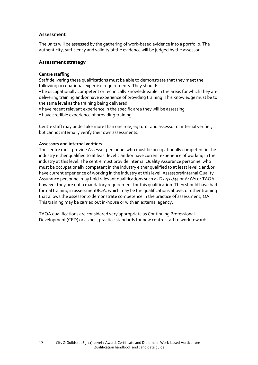### **Assessment**

The units will be assessed by the gathering of work-based evidence into a portfolio. The authenticity, sufficiency and validity of the evidence will be judged by the assessor.

### **Assessment strategy**

### **Centre staffing**

Staff delivering these qualifications must be able to demonstrate that they meet the following occupational expertise requirements. They should:

• be occupationally competent or technically knowledgeable in the areas for which they are delivering training and/or have experience of providing training. This knowledge must be to the same level as the training being delivered

- have recent relevant experience in the specific area they will be assessing
- have credible experience of providing training.

Centre staff may undertake more than one role, eg tutor and assessor or internal verifier, but cannot internally verify their own assessments.

### **Assessors and internal verifiers**

The centre must provide Assessor personnel who must be occupationally competent in the industry either qualified to at least level 2 and/or have current experience of working in the industry at this level. The centre must provide Internal Quality Assurance personnel who must be occupationally competent in the industry either qualified to at least level 2 and/or have current experience of working in the industry at this level. Assessors/Internal Quality Assurance personnel may hold relevant qualifications such as D32/33/34 or A1/V1 or TAQA however they are not a mandatory requirement for this qualification. They should have had formal training in assessment/IQA, which may be the qualifications above, or other training that allows the assessor to demonstrate competence in the practice of assessment/IQA. This training may be carried out in-house or with an external agency.

TAQA qualifications are considered very appropriate as Continuing Professional Development (CPD) or as best practice standards for new centre staff to work towards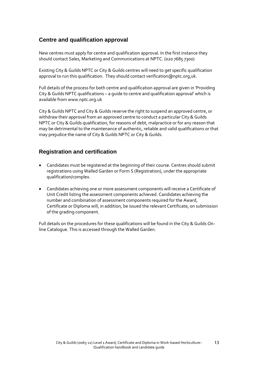## **Centre and qualification approval**

New centres must apply for centre and qualification approval. In the first instance they should contact Sales, Marketing and Communications at NPTC. (020 7685 7300)

Existing City & Guilds NPTC or City & Guilds centres will need to get specific qualification approval to run this qualification. They should contact verification@nptc.org,uk.

Full details of the process for both centre and qualification approval are given in 'Providing City & Guilds NPTC qualifications – a guide to centre and qualification approval' which is available from www.nptc.org.uk

City & Guilds NPTC and City & Guilds reserve the right to suspend an approved centre, or withdraw their approval from an approved centre to conduct a particular City & Guilds NPTC or City & Guilds qualification, for reasons of debt, malpractice or for any reason that may be detrimental to the maintenance of authentic, reliable and valid qualifications or that may prejudice the name of City & Guilds NPTC or City & Guilds.

## **Registration and certification**

- Candidates must be registered at the beginning of their course. Centres should submit registrations using Walled Garden or Form S (Registration), under the appropriate qualification/complex.
- Candidates achieving one or more assessment components will receive a Certificate of Unit Credit listing the assessment components achieved. Candidates achieving the number and combination of assessment components required for the Award, Certificate or Diploma will, in addition, be issued the relevant Certificate, on submission of the grading component.

Full details on the procedures for these qualifications will be found in the City & Guilds Online Catalogue. This is accessed through the Walled Garden.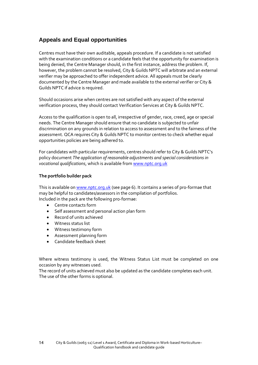## **Appeals and Equal opportunities**

Centres must have their own auditable, appeals procedure. If a candidate is not satisfied with the examination conditions or a candidate feels that the opportunity for examination is being denied, the Centre Manager should, in the first instance, address the problem. If, however, the problem cannot be resolved, City & Guilds NPTC will arbitrate and an external verifier may be approached to offer independent advice. All appeals must be clearly documented by the Centre Manager and made available to the external verifier or City & Guilds NPTC if advice is required.

Should occasions arise when centres are not satisfied with any aspect of the external verification process, they should contact Verification Services at City & Guilds NPTC.

Access to the qualification is open to all, irrespective of gender, race, creed, age or special needs. The Centre Manager should ensure that no candidate is subjected to unfair discrimination on any grounds in relation to access to assessment and to the fairness of the assessment. QCA requires City & Guilds NPTC to monitor centres to check whether equal opportunities policies are being adhered to.

For candidates with particular requirements, centres should refer to City & Guilds NPTC's policy document *The application of reasonable adjustments and special considerations in vocational qualifications*, which is available fro[m www.nptc.org.uk](http://www.nptc.org.uk/)

### **The portfolio builder pack**

This is available o[n www.nptc.org.uk](http://www.nptc.org.uk/) (see page 6). It contains a series of pro-formae that may be helpful to candidates/assessors in the compilation of portfolios. Included in the pack are the following pro-formae:

- Centre contacts form
- Self assessment and personal action plan form
- Record of units achieved
- Witness status list
- Witness testimony form
- Assessment planning form
- Candidate feedback sheet

Where witness testimony is used, the Witness Status List must be completed on one occasion by any witnesses used.

The record of units achieved must also be updated as the candidate completes each unit. The use of the other forms is optional.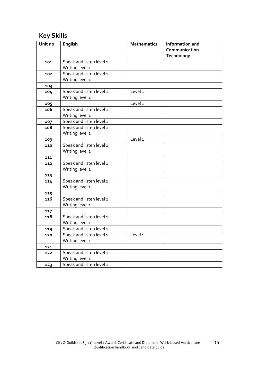# **Key Skills**

| Unit no | English                  | <b>Mathematics</b> | Information and |
|---------|--------------------------|--------------------|-----------------|
|         |                          |                    | Communication   |
|         |                          |                    | Technology      |
| 101     | Speak and listen level 1 |                    |                 |
|         | Writing level 1          |                    |                 |
| 102     | Speak and listen level 1 |                    |                 |
|         | Writing level 1          |                    |                 |
| 103     |                          |                    |                 |
| 104     | Speak and listen level 1 | Level 1            |                 |
|         | Writing level 1          |                    |                 |
| 105     |                          | Level 1            |                 |
| 106     | Speak and listen level 1 |                    |                 |
|         | Writing level 1          |                    |                 |
| 107     | Speak and listen level 1 |                    |                 |
| 108     | Speak and listen level 1 |                    |                 |
|         | Writing level 1          |                    |                 |
| 109     |                          | Level 1            |                 |
| 110     | Speak and listen level 1 |                    |                 |
|         | Writing level 1          |                    |                 |
| 111     |                          |                    |                 |
| 112     | Speak and listen level 1 |                    |                 |
|         | Writing level 1          |                    |                 |
| 113     |                          |                    |                 |
| 114     | Speak and listen level 1 |                    |                 |
|         | Writing level 1          |                    |                 |
| 115     |                          |                    |                 |
| 116     | Speak and listen level 1 |                    |                 |
|         | Writing level 1          |                    |                 |
| 117     |                          |                    |                 |
| 118     | Speak and listen level 1 |                    |                 |
|         | Writing level 1          |                    |                 |
| 119     | Speak and listen level 1 |                    |                 |
| 120     | Speak and listen level 1 | Level 1            |                 |
|         | Writing level 1          |                    |                 |
| 121     |                          |                    |                 |
| 122     | Speak and listen level 1 |                    |                 |
|         | Writing level 1          |                    |                 |
| 123     | Speak and listen level 1 |                    |                 |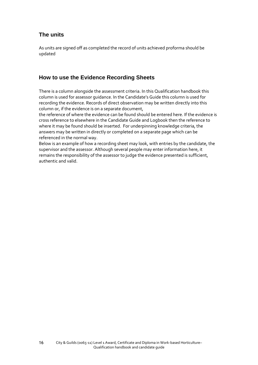## **The units**

As units are signed off as completed the record of units achieved proforma should be updated

## **How to use the Evidence Recording Sheets**

There is a column alongside the assessment criteria. In this Qualification handbook this column is used for assessor guidance. In the Candidate's Guide this column is used for recording the evidence. Records of direct observation may be written directly into this column or, if the evidence is on a separate document,

the reference of where the evidence can be found should be entered here. If the evidence is cross reference to elsewhere in the Candidate Guide and Logbook then the reference to where it may be found should be inserted. For underpinning knowledge criteria, the answers may be written in directly or completed on a separate page which can be referenced in the normal way.

Below is an example of how a recording sheet may look, with entries by the candidate, the supervisor and the assessor. Although several people may enter information here, it remains the responsibility of the assessor to judge the evidence presented is sufficient, authentic and valid.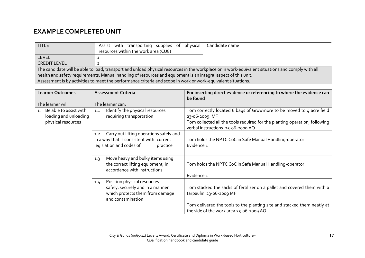# **EXAMPLE COMPLETED UNIT**

| <b>TITLE</b>                                                                                                                                      | Assist with transporting supplies of physical | Candidate name |  |  |
|---------------------------------------------------------------------------------------------------------------------------------------------------|-----------------------------------------------|----------------|--|--|
|                                                                                                                                                   | resources within the work area (CU8)          |                |  |  |
| <b>LEVEL</b>                                                                                                                                      |                                               |                |  |  |
| <b>CREDIT LEVEL</b>                                                                                                                               |                                               |                |  |  |
| The candidate will be able to load, transport and unload physical resources in the workplace or in work-equivalent situations and comply with all |                                               |                |  |  |
| health and safety requirements. Manual handling of resources and equipment is an integral aspect of this unit.                                    |                                               |                |  |  |
| Assessment is by activities to meet the performance criteria and scope in work or work-equivalent situations.                                     |                                               |                |  |  |

| <b>Learner Outcomes</b> |                        | <b>Assessment Criteria</b>                                        | For inserting direct evidence or referencing to where the evidence can                                          |
|-------------------------|------------------------|-------------------------------------------------------------------|-----------------------------------------------------------------------------------------------------------------|
|                         |                        |                                                                   | be found                                                                                                        |
|                         | The learner will:      | The learner can:                                                  |                                                                                                                 |
| 1.                      | Be able to assist with | Identify the physical resources<br>1.1                            | Tom correctly located 6 bags of Growmore to be moved to 4 acre field                                            |
|                         | loading and unloading  | requiring transportation                                          | 23-06-2009. MF                                                                                                  |
|                         | physical resources     |                                                                   | Tom collected all the tools required for the planting operation, following<br>verbal instructions 25-06-2009 AO |
|                         |                        | Carry out lifting operations safely and<br>1.2                    |                                                                                                                 |
|                         |                        | in a way that is consistent with current                          | Tom holds the NPTC CoC in Safe Manual Handling-operator                                                         |
|                         |                        | legislation and codes of<br>practice                              | Evidence 1                                                                                                      |
|                         |                        |                                                                   |                                                                                                                 |
|                         |                        | Move heavy and bulky items using<br>1.3                           |                                                                                                                 |
|                         |                        | the correct lifting equipment, in<br>accordance with instructions | Tom holds the NPTC CoC in Safe Manual Handling-operator                                                         |
|                         |                        |                                                                   | Evidence 1                                                                                                      |
|                         |                        | Position physical resources<br>1.4                                |                                                                                                                 |
|                         |                        | safely, securely and in a manner                                  | Tom stacked the sacks of fertilizer on a pallet and covered them with a                                         |
|                         |                        | which protects them from damage                                   | tarpaulin 23-06-2009 MF                                                                                         |
|                         |                        | and contamination                                                 |                                                                                                                 |
|                         |                        |                                                                   | Tom delivered the tools to the planting site and stacked them neatly at                                         |
|                         |                        |                                                                   | the side of the work area 25-06-2009 AO                                                                         |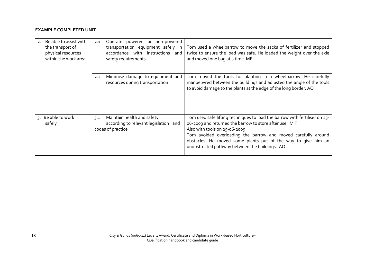### **EXAMPLE COMPLETED UNIT**

| Be able to assist with<br>2.<br>the transport of<br>physical resources<br>within the work area | 2.1 | Operate powered or non-powered<br>transportation equipment safely in<br>accordance with instructions and<br>safety requirements | Tom used a wheelbarrow to move the sacks of fertilizer and stopped<br>twice to ensure the load was safe. He loaded the weight over the axle<br>and moved one bag at a time. MF                                                                                                                                                                            |
|------------------------------------------------------------------------------------------------|-----|---------------------------------------------------------------------------------------------------------------------------------|-----------------------------------------------------------------------------------------------------------------------------------------------------------------------------------------------------------------------------------------------------------------------------------------------------------------------------------------------------------|
|                                                                                                | 2.2 | Minimise damage to equipment and<br>resources during transportation                                                             | Tom moved the tools for planting in a wheelbarrow. He carefully<br>manoeuvred between the buildings and adjusted the angle of the tools<br>to avoid damage to the plants at the edge of the long border. AO                                                                                                                                               |
| 3. Be able to work<br>safely                                                                   | 3.1 | Maintain health and safety<br>according to relevant legislation and<br>codes of practice                                        | Tom used safe lifting techniques to load the barrow with fertiliser on 23-<br>o6-2009 and returned the barrow to store after use. MF<br>Also with tools on 25-06-2009<br>Tom avoided overloading the barrow and moved carefully around<br>obstacles. He moved some plants put of the way to give him an<br>unobstructed pathway between the buildings. AO |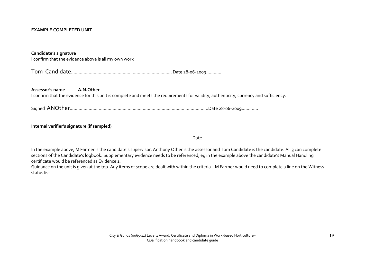### **EXAMPLE COMPLETED UNIT**

**Candidate's signature**  I confirm that the evidence above is all my own work

Tom Candidate…………………………………………………………………….. Date 28-06-2009………...

**Assessor's name A.N.Other** ……………………………………………………………………………………………………………. I confirm that the evidence for this unit is complete and meets the requirements for validity, authenticity, currency and sufficiency.

Signed ANOther……………………………………………...........................................................Date 28-06-2009………….

**Internal verifier's signature (if sampled)**

………………………………………………………………………………………………………………..Date………………………………

In the example above, M Farmer is the candidate's supervisor, Anthony Other is the assessor and Tom Candidate is the candidate. All 3 can complete sections of the Candidate's logbook. Supplementary evidence needs to be referenced, eg in the example above the candidate's Manual Handling certificate would be referenced as Evidence 1.

Guidance on the unit is given at the top. Any items of scope are dealt with within the criteria. M Farmer would need to complete a line on the Witness status list.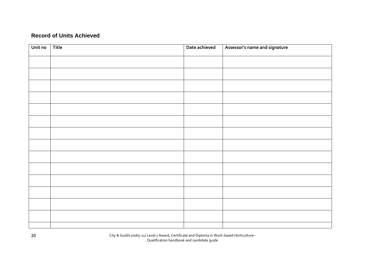## **Record of Units Achieved**

| Unit no | Title | Date achieved | Assessor's name and signature |
|---------|-------|---------------|-------------------------------|
|         |       |               |                               |
|         |       |               |                               |
|         |       |               |                               |
|         |       |               |                               |
|         |       |               |                               |
|         |       |               |                               |
|         |       |               |                               |
|         |       |               |                               |
|         |       |               |                               |
|         |       |               |                               |
|         |       |               |                               |
|         |       |               |                               |
|         |       |               |                               |
|         |       |               |                               |
|         |       |               |                               |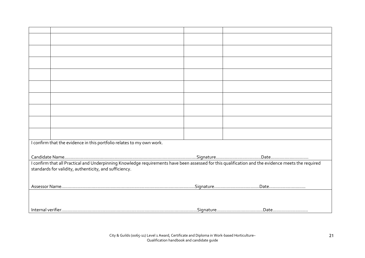| I confirm that the evidence in this portfolio relates to my own work.                                                                              |  |
|----------------------------------------------------------------------------------------------------------------------------------------------------|--|
|                                                                                                                                                    |  |
|                                                                                                                                                    |  |
| I confirm that all Practical and Underpinning Knowledge requirements have been assessed for this qualification and the evidence meets the required |  |
| standards for validity, authenticity, and sufficiency.                                                                                             |  |
|                                                                                                                                                    |  |
|                                                                                                                                                    |  |
|                                                                                                                                                    |  |
|                                                                                                                                                    |  |
|                                                                                                                                                    |  |
|                                                                                                                                                    |  |
|                                                                                                                                                    |  |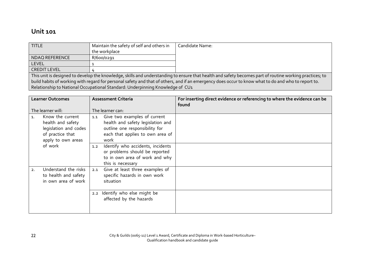| <b>TITLE</b>                                                                                                                                            | Maintain the safety of self and others in | Candidate Name: |  |
|---------------------------------------------------------------------------------------------------------------------------------------------------------|-------------------------------------------|-----------------|--|
|                                                                                                                                                         | the workplace                             |                 |  |
| NDAQ REFERENCE                                                                                                                                          | R/600/0291                                |                 |  |
| <b>LEVEL</b>                                                                                                                                            |                                           |                 |  |
| <b>CREDIT LEVEL</b>                                                                                                                                     |                                           |                 |  |
| This unit is designed to develop the knowledge, skills and understanding to ensure that health and safety becomes part of routine working practices; to |                                           |                 |  |
| build habits of working with regard for personal safety and that of others, and if an emergency does occur to know what to do and who to report to.     |                                           |                 |  |
| Relationship to National Occupational Standard: Underpinning Knowledge of CU1                                                                           |                                           |                 |  |

| <b>Learner Outcomes</b>                                                                                                    | <b>Assessment Criteria</b>                                                                                                                             | For inserting direct evidence or referencing to where the evidence can be<br>found |
|----------------------------------------------------------------------------------------------------------------------------|--------------------------------------------------------------------------------------------------------------------------------------------------------|------------------------------------------------------------------------------------|
| The learner will:                                                                                                          | The learner can:                                                                                                                                       |                                                                                    |
| Know the current<br>$\mathbf{1}$ .<br>health and safety<br>legislation and codes<br>of practice that<br>apply to own areas | Give two examples of current<br>1.1<br>health and safety legislation and<br>outline one responsibility for<br>each that applies to own area of<br>work |                                                                                    |
| of work                                                                                                                    | Identify who accidents, incidents<br>1.2<br>or problems should be reported<br>to in own area of work and why<br>this is necessary                      |                                                                                    |
| Understand the risks<br>2.<br>to health and safety<br>in own area of work                                                  | Give at least three examples of<br>2.1<br>specific hazards in own work<br>situation                                                                    |                                                                                    |
|                                                                                                                            | Identify who else might be<br>2.2<br>affected by the hazards                                                                                           |                                                                                    |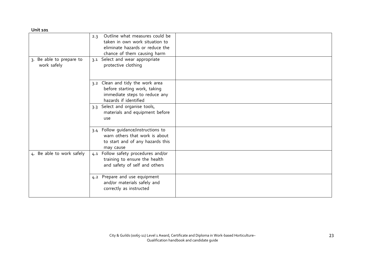| <b>Unit 101</b>                         |                                                                                                                                           |
|-----------------------------------------|-------------------------------------------------------------------------------------------------------------------------------------------|
|                                         | Outline what measures could be<br>2.3<br>taken in own work situation to<br>eliminate hazards or reduce the<br>chance of them causing harm |
| 3. Be able to prepare to<br>work safely | 3.1 Select and wear appropriate<br>protective clothing                                                                                    |
|                                         | 3.2 Clean and tidy the work area<br>before starting work, taking<br>immediate steps to reduce any<br>hazards if identified                |
|                                         | 3.3 Select and organise tools,<br>materials and equipment before<br><b>use</b>                                                            |
|                                         | 3.4 Follow guidance/instructions to<br>warn others that work is about<br>to start and of any hazards this<br>may cause                    |
| 4. Be able to work safely               | 4.1 Follow safety procedures and/or<br>training to ensure the health<br>and safety of self and others                                     |
|                                         | 4.2 Prepare and use equipment<br>and/or materials safely and<br>correctly as instructed                                                   |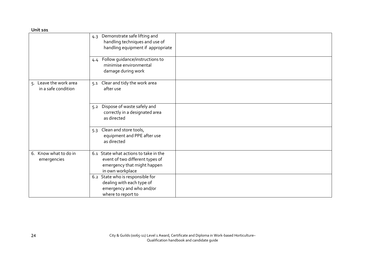| <b>Unit 101</b>                               |                                                                                                                             |  |
|-----------------------------------------------|-----------------------------------------------------------------------------------------------------------------------------|--|
|                                               | Demonstrate safe lifting and<br>4.3<br>handling techniques and use of<br>handling equipment if appropriate                  |  |
|                                               | Follow guidance/instructions to<br>4.4<br>minimise environmental<br>damage during work                                      |  |
| 5. Leave the work area<br>in a safe condition | Clear and tidy the work area<br>5.1<br>after use                                                                            |  |
|                                               | Dispose of waste safely and<br>5.2<br>correctly in a designated area<br>as directed                                         |  |
|                                               | Clean and store tools,<br>5.3<br>equipment and PPE after use<br>as directed                                                 |  |
| 6. Know what to do in<br>emergencies          | 6.1 State what actions to take in the<br>event of two different types of<br>emergency that might happen<br>in own workplace |  |
|                                               | 6.2 State who is responsible for<br>dealing with each type of<br>emergency and who and/or<br>where to report to             |  |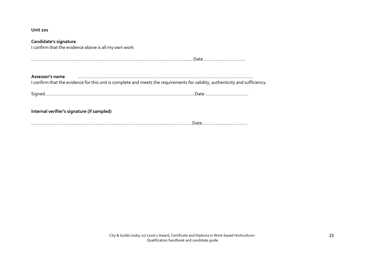### **Candidate's signature**

I confirm that the evidence above is all my own work

|--|

| Assessor's name |  |
|-----------------|--|
|-----------------|--|

I confirm that the evidence for this unit is complete and meets the requirements for validity, authenticity and sufficiency.

| - Unnon manusuusee maailmanus maailmanus maailmanus maailmanus maailmanus maailmanus maailmanus maailmanus maa |
|----------------------------------------------------------------------------------------------------------------|
|----------------------------------------------------------------------------------------------------------------|

**Internal verifier's signature (if sampled)**

|--|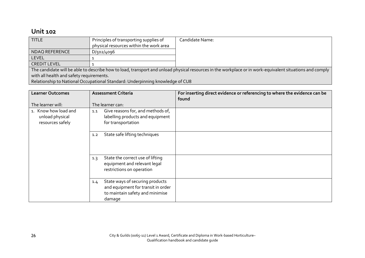| <b>TITLE</b>                                                                                                                                             | Principles of transporting supplies of<br>physical resources within the work area | Candidate Name: |
|----------------------------------------------------------------------------------------------------------------------------------------------------------|-----------------------------------------------------------------------------------|-----------------|
| NDAQ REFERENCE                                                                                                                                           | D/502/4096                                                                        |                 |
| <b>LEVEL</b>                                                                                                                                             |                                                                                   |                 |
| <b>CREDIT LEVEL</b>                                                                                                                                      |                                                                                   |                 |
| The candidate will be able to describe how to load, transport and unload physical resources in the workplace or in work-equivalent situations and comply |                                                                                   |                 |
| وعمروه ومرون بموس يعكوم لمورم والجامع واللم والنبرز                                                                                                      |                                                                                   |                 |

with all health and safety requirements.

Relationship to National Occupational Standard: Underpinning knowledge of CU8

| <b>Learner Outcomes</b>                                     | <b>Assessment Criteria</b>                                                                                                | For inserting direct evidence or referencing to where the evidence can be<br>found |
|-------------------------------------------------------------|---------------------------------------------------------------------------------------------------------------------------|------------------------------------------------------------------------------------|
| The learner will:                                           | The learner can:                                                                                                          |                                                                                    |
| 1. Know how load and<br>unload physical<br>resources safely | Give reasons for, and methods of,<br>1.1<br>labelling products and equipment<br>for transportation                        |                                                                                    |
|                                                             | State safe lifting techniques<br>1.2                                                                                      |                                                                                    |
|                                                             | State the correct use of lifting<br>1.3<br>equipment and relevant legal<br>restrictions on operation                      |                                                                                    |
|                                                             | State ways of securing products<br>1.4<br>and equipment for transit in order<br>to maintain safety and minimise<br>damage |                                                                                    |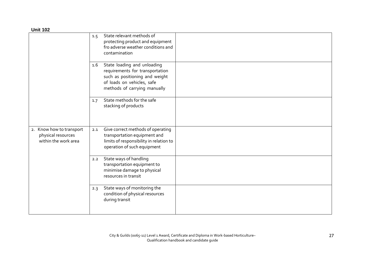| <b>Unit 102</b>                                                        |     |                                                                                                                                                                |  |
|------------------------------------------------------------------------|-----|----------------------------------------------------------------------------------------------------------------------------------------------------------------|--|
|                                                                        | 1.5 | State relevant methods of<br>protecting product and equipment<br>fro adverse weather conditions and<br>contamination                                           |  |
|                                                                        | 1.6 | State loading and unloading<br>requirements for transportation<br>such as positioning and weight<br>of loads on vehicles, safe<br>methods of carrying manually |  |
|                                                                        | 1.7 | State methods for the safe<br>stacking of products                                                                                                             |  |
| 2. Know how to transport<br>physical resources<br>within the work area | 2.1 | Give correct methods of operating<br>transportation equipment and<br>limits of responsibility in relation to<br>operation of such equipment                    |  |
|                                                                        | 2.2 | State ways of handling<br>transportation equipment to<br>minimise damage to physical<br>resources in transit                                                   |  |
|                                                                        | 2.3 | State ways of monitoring the<br>condition of physical resources<br>during transit                                                                              |  |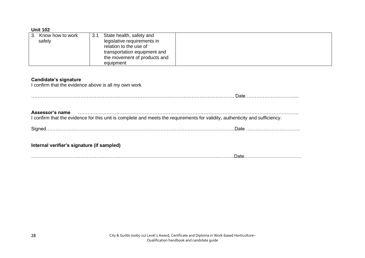| <b>Unit 102</b>               |                                                                                                                                                                       |  |
|-------------------------------|-----------------------------------------------------------------------------------------------------------------------------------------------------------------------|--|
| 3. Know how to work<br>safely | State health, safety and<br>3.1<br>legislative requirements in<br>relation to the use of<br>transportation equipment and<br>the movement of products and<br>equipment |  |

### **Candidate's signature**

I confirm that the evidence above is all my own work

……………………………………………………………………………………………………………….. Date …………………………...

#### **Assessor's name** …………………………………………………………………………………………………………………………. I confirm that the evidence for this unit is complete and meets the requirements for validity, authenticity and sufficiency.

Signed………………………………………………………………………………………………………..Date …………………………….

### **Internal verifier's signature (if sampled)**

………………………………………………………………………………………………………………..Date………………………………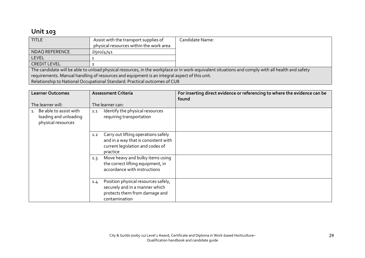| <b>TITLE</b>                                                                                                                                     | Assist with the transport supplies of   | Candidate Name: |  |  |
|--------------------------------------------------------------------------------------------------------------------------------------------------|-----------------------------------------|-----------------|--|--|
|                                                                                                                                                  | physical resources within the work area |                 |  |  |
| NDAQ REFERENCE                                                                                                                                   | J/502/4741                              |                 |  |  |
| <b>LEVEL</b>                                                                                                                                     |                                         |                 |  |  |
| <b>CREDIT LEVEL</b>                                                                                                                              |                                         |                 |  |  |
| The candidate will be able to unload physical resources, in the workplace or in work-equivalent situations and comply with all health and safety |                                         |                 |  |  |
| requirements. Manual handling of resources and equipment is an integral aspect of this unit.                                                     |                                         |                 |  |  |
| Relationship to National Occupational Standard: Practical outcomes of CU8                                                                        |                                         |                 |  |  |

| <b>Learner Outcomes</b>                                                     | <b>Assessment Criteria</b>                                                                                                         | For inserting direct evidence or referencing to where the evidence can be |
|-----------------------------------------------------------------------------|------------------------------------------------------------------------------------------------------------------------------------|---------------------------------------------------------------------------|
|                                                                             |                                                                                                                                    | found                                                                     |
| The learner will:                                                           | The learner can:                                                                                                                   |                                                                           |
| Be able to assist with<br>1.<br>loading and unloading<br>physical resources | Identify the physical resources<br>1.1<br>requiring transportation                                                                 |                                                                           |
|                                                                             | Carry out lifting operations safely<br>1.2<br>and in a way that is consistent with<br>current legislation and codes of<br>practice |                                                                           |
|                                                                             | Move heavy and bulky items using<br>1.3<br>the correct lifting equipment, in<br>accordance with instructions                       |                                                                           |
|                                                                             | Position physical resources safely,<br>1.4<br>securely and in a manner which<br>protects them from damage and<br>contamination     |                                                                           |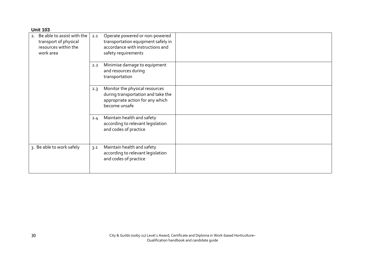| Be able to assist with the<br>2.<br>transport of physical<br>resources within the | 2.1 | Operate powered or non-powered<br>transportation equipment safely in<br>accordance with instructions and                  |  |
|-----------------------------------------------------------------------------------|-----|---------------------------------------------------------------------------------------------------------------------------|--|
| work area                                                                         |     | safety requirements                                                                                                       |  |
|                                                                                   | 2.2 | Minimise damage to equipment<br>and resources during<br>transportation                                                    |  |
|                                                                                   | 2.3 | Monitor the physical resources<br>during transportation and take the<br>appropriate action for any which<br>become unsafe |  |
|                                                                                   | 2.4 | Maintain health and safety<br>according to relevant legislation<br>and codes of practice                                  |  |
| 3. Be able to work safely                                                         | 3.1 | Maintain health and safety<br>according to relevant legislation<br>and codes of practice                                  |  |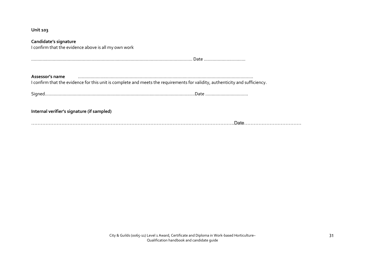### **Candidate's signature**

I confirm that the evidence above is all my own work

……………………………………………………………………………………………………………….. Date …………………………...

**Assessor's name** ………………………………………………………………………………………………………………………….

I confirm that the evidence for this unit is complete and meets the requirements for validity, authenticity and sufficiency.

Signed………………………………………………………………………………………………………..Date …………………………….

**Internal verifier's signature (if sampled)**

………………………………………………………………………………………………………………..Date………………………………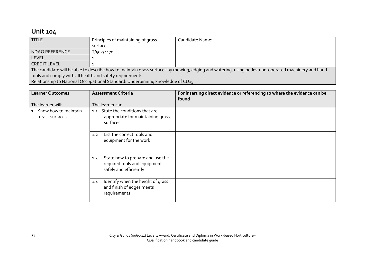| <b>TITLE</b>                                                                                                                                       | Principles of maintaining of grass | Candidate Name: |  |
|----------------------------------------------------------------------------------------------------------------------------------------------------|------------------------------------|-----------------|--|
|                                                                                                                                                    | surfaces                           |                 |  |
| NDAQ REFERENCE                                                                                                                                     | T/502/4170                         |                 |  |
| <b>LEVEL</b>                                                                                                                                       |                                    |                 |  |
| <b>CREDIT LEVEL</b>                                                                                                                                |                                    |                 |  |
| The candidate will be able to describe how to maintain grass surfaces by mowing, edging and watering, using pedestrian-operated machinery and hand |                                    |                 |  |
| tools and comply with all health and safety requirements.                                                                                          |                                    |                 |  |
|                                                                                                                                                    |                                    |                 |  |

Relationship to National Occupational Standard: Underpinning knowledge of CU15

| <b>Learner Outcomes</b>                   | <b>Assessment Criteria</b>                                                                        | For inserting direct evidence or referencing to where the evidence can be<br>found |
|-------------------------------------------|---------------------------------------------------------------------------------------------------|------------------------------------------------------------------------------------|
| The learner will:                         | The learner can:                                                                                  |                                                                                    |
| 1. Know how to maintain<br>grass surfaces | 1.1 State the conditions that are<br>appropriate for maintaining grass<br>surfaces                |                                                                                    |
|                                           | List the correct tools and<br>1.2<br>equipment for the work                                       |                                                                                    |
|                                           | State how to prepare and use the<br>1.3<br>required tools and equipment<br>safely and efficiently |                                                                                    |
|                                           | Identify when the height of grass<br>1.4<br>and finish of edges meets<br>requirements             |                                                                                    |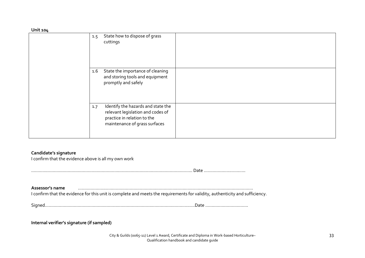| Unit 104 |     |                                                                                                                                         |  |
|----------|-----|-----------------------------------------------------------------------------------------------------------------------------------------|--|
|          | 1.5 | State how to dispose of grass<br>cuttings                                                                                               |  |
|          | 1.6 | State the importance of cleaning<br>and storing tools and equipment<br>promptly and safely                                              |  |
|          | 1.7 | Identify the hazards and state the<br>relevant legislation and codes of<br>practice in relation to the<br>maintenance of grass surfaces |  |

### **Candidate's signature**

I confirm that the evidence above is all my own work

……………………………………………………………………………………………………………….. Date …………………………...

| Assessor's name |                                                                                                                              |
|-----------------|------------------------------------------------------------------------------------------------------------------------------|
|                 | I confirm that the evidence for this unit is complete and meets the requirements for validity, authenticity and sufficiency. |

Signed………………………………………………………………………………………………………..Date …………………………….

**Internal verifier's signature (if sampled)**

City & Guilds (0065-11) Level 1 Award, Certificate and Diploma in Work-based Horticulture– Qualification handbook and candidate guide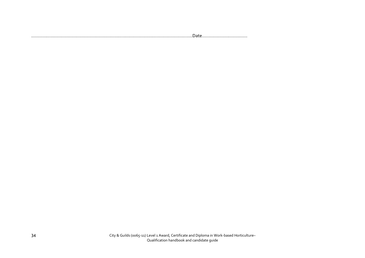………………………………………………………………………………………………………………..Date………………………………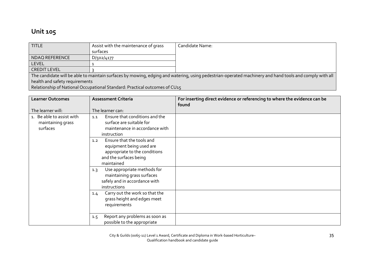| <b>TITLE</b>                                                                                                                                           | Assist with the maintenance of grass | Candidate Name: |  |  |
|--------------------------------------------------------------------------------------------------------------------------------------------------------|--------------------------------------|-----------------|--|--|
|                                                                                                                                                        | surfaces                             |                 |  |  |
| NDAQ REFERENCE                                                                                                                                         | D/502/4177                           |                 |  |  |
| <b>LEVEL</b>                                                                                                                                           |                                      |                 |  |  |
| <b>CREDIT LEVEL</b>                                                                                                                                    |                                      |                 |  |  |
| The candidate will be able to maintain surfaces by mowing, edging and watering, using pedestrian-operated machinery and hand tools and comply with all |                                      |                 |  |  |
| health and safety requirements                                                                                                                         |                                      |                 |  |  |
| Relationship of National Occupational Standard: Practical outcomes of CU15                                                                             |                                      |                 |  |  |

| <b>Learner Outcomes</b>   | <b>Assessment Criteria</b>            | For inserting direct evidence or referencing to where the evidence can be |
|---------------------------|---------------------------------------|---------------------------------------------------------------------------|
|                           |                                       | found                                                                     |
| The learner will:         | The learner can:                      |                                                                           |
| 1. Be able to assist with | Ensure that conditions and the<br>1.1 |                                                                           |
| maintaining grass         | surface are suitable for              |                                                                           |
| surfaces                  | maintenance in accordance with        |                                                                           |
|                           | instruction                           |                                                                           |
|                           | Ensure that the tools and<br>1.2      |                                                                           |
|                           | equipment being used are              |                                                                           |
|                           | appropriate to the conditions         |                                                                           |
|                           | and the surfaces being                |                                                                           |
|                           | maintained                            |                                                                           |
|                           | Use appropriate methods for<br>1.3    |                                                                           |
|                           | maintaining grass surfaces            |                                                                           |
|                           | safely and in accordance with         |                                                                           |
|                           | instructions                          |                                                                           |
|                           | Carry out the work so that the<br>1.4 |                                                                           |
|                           | grass height and edges meet           |                                                                           |
|                           | requirements                          |                                                                           |
|                           |                                       |                                                                           |
|                           | Report any problems as soon as<br>1.5 |                                                                           |
|                           | possible to the appropriate           |                                                                           |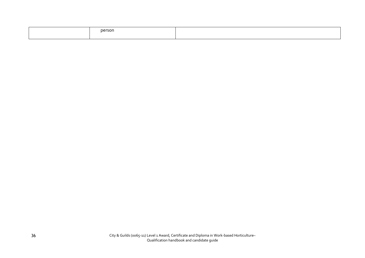| person<br>____ |  |
|----------------|--|
|                |  |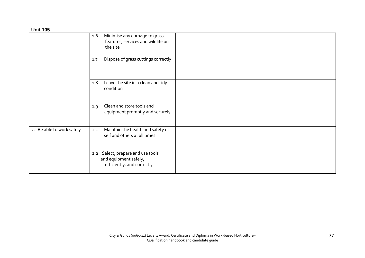| <b>Unit 105</b>           |                                                                                             |
|---------------------------|---------------------------------------------------------------------------------------------|
|                           | Minimise any damage to grass,<br>1.6<br>features, services and wildlife on<br>the site      |
|                           | Dispose of grass cuttings correctly<br>1.7                                                  |
|                           | Leave the site in a clean and tidy<br>1.8<br>condition                                      |
|                           | Clean and store tools and<br>1.9<br>equipment promptly and securely                         |
| 2. Be able to work safely | Maintain the health and safety of<br>2.1<br>self and others at all times                    |
|                           | Select, prepare and use tools<br>2.2<br>and equipment safely,<br>efficiently, and correctly |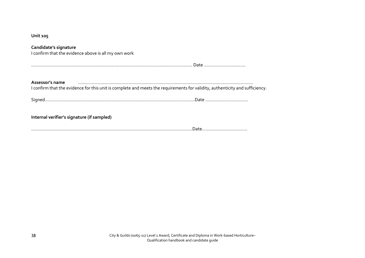I confirm that the evidence above is all my own work

……………………………………………………………………………………………………………….. Date …………………………...

**Assessor's name** ………………………………………………………………………………………………………………………….

I confirm that the evidence for this unit is complete and meets the requirements for validity, authenticity and sufficiency.

Signed………………………………………………………………………………………………………..Date …………………………….

**Internal verifier's signature (if sampled)**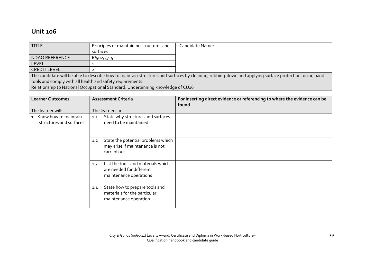| <b>TITLE</b>                                                                                                                                         | Principles of maintaining structures and | Candidate Name: |
|------------------------------------------------------------------------------------------------------------------------------------------------------|------------------------------------------|-----------------|
|                                                                                                                                                      | surfaces                                 |                 |
| NDAQ REFERENCE                                                                                                                                       | R/502/5715                               |                 |
| <b>LEVEL</b>                                                                                                                                         |                                          |                 |
| <b>CREDIT LEVEL</b>                                                                                                                                  |                                          |                 |
| The candidate will be able to describe how to maintain structures and surfaces by cleaning, rubbing-down and applying surface protection, using hand |                                          |                 |
| tools and comply with all health and safety requirements.                                                                                            |                                          |                 |
| Relationship to National Occupational Standard: Underpinning knowledge of CU16                                                                       |                                          |                 |

| <b>Learner Outcomes</b>                            | <b>Assessment Criteria</b>                                                                      | For inserting direct evidence or referencing to where the evidence can be |
|----------------------------------------------------|-------------------------------------------------------------------------------------------------|---------------------------------------------------------------------------|
| The learner will:                                  | The learner can:                                                                                | found                                                                     |
| 1. Know how to maintain<br>structures and surfaces | State why structures and surfaces<br>1.1<br>need to be maintained                               |                                                                           |
|                                                    | State the potential problems which<br>1.2<br>may arise if maintenance is not<br>carried out     |                                                                           |
|                                                    | List the tools and materials which<br>1.3<br>are needed for different<br>maintenance operations |                                                                           |
|                                                    | State how to prepare tools and<br>1.4<br>materials for the particular<br>maintenance operation  |                                                                           |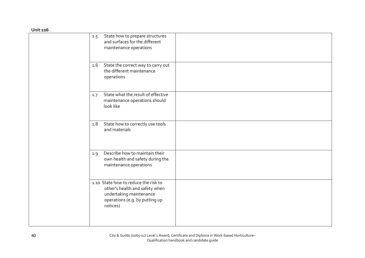| <b>Unit 106</b> |                                                                                                                                                 |  |
|-----------------|-------------------------------------------------------------------------------------------------------------------------------------------------|--|
| 1.5             | State how to prepare structures<br>and surfaces for the different<br>maintenance operations                                                     |  |
| 1.6             | State the correct way to carry out<br>the different maintenance<br>operations                                                                   |  |
| 1.7             | State what the result of effective<br>maintenance operations should<br>look like                                                                |  |
| 1.8             | State how to correctly use tools<br>and materials                                                                                               |  |
| 1.9             | Describe how to maintain their<br>own health and safety during the<br>maintenance operations                                                    |  |
|                 | 1.10 State how to reduce the risk to<br>other's health and safety when<br>undertaking maintenance<br>operations (e.g. by putting up<br>notices) |  |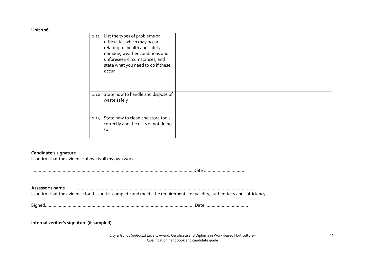| Unit 106 |                                                                                                                                                                                                                             |  |
|----------|-----------------------------------------------------------------------------------------------------------------------------------------------------------------------------------------------------------------------------|--|
|          | List the types of problems or<br>1.11<br>difficulties which may occur,<br>relating to: health and safety,<br>damage, weather conditions and<br>unforeseen circumstances, and<br>state what you need to do if these<br>occur |  |
|          | State how to handle and dispose of<br>1.12<br>waste safely                                                                                                                                                                  |  |
|          | State how to clean and store tools<br>1.13<br>correctly and the risks of not doing<br><b>SO</b>                                                                                                                             |  |

I confirm that the evidence above is all my own work

……………………………………………………………………………………………………………….. Date …………………………...

| Assessor's name |                                                                                                                              |
|-----------------|------------------------------------------------------------------------------------------------------------------------------|
|                 | I confirm that the evidence for this unit is complete and meets the requirements for validity, authenticity and sufficiency. |

|--|

**Internal verifier's signature (if sampled)**

City & Guilds (0065-11) Level 1 Award, Certificate and Diploma in Work-based Horticulture– Qualification handbook and candidate guide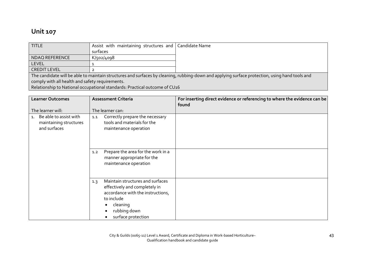| <b>TITLE</b>                                                                                                                                   | Assist with maintaining structures and | Candidate Name |
|------------------------------------------------------------------------------------------------------------------------------------------------|----------------------------------------|----------------|
|                                                                                                                                                | surfaces                               |                |
| NDAQ REFERENCE                                                                                                                                 | K/502/4098                             |                |
| <b>LEVEL</b>                                                                                                                                   |                                        |                |
| <b>CREDIT LEVEL</b>                                                                                                                            |                                        |                |
| The candidate will be able to maintain structures and surfaces by cleaning, rubbing-down and applying surface protection, using hand tools and |                                        |                |
| comply with all health and safety requirements.                                                                                                |                                        |                |
| Relationship to National occupational standards: Practical outcome of CU16                                                                     |                                        |                |

| <b>Learner Outcomes</b>                                                | <b>Assessment Criteria</b>                                                                                                                                                                 | For inserting direct evidence or referencing to where the evidence can be |
|------------------------------------------------------------------------|--------------------------------------------------------------------------------------------------------------------------------------------------------------------------------------------|---------------------------------------------------------------------------|
|                                                                        |                                                                                                                                                                                            | found                                                                     |
| The learner will:                                                      | The learner can:                                                                                                                                                                           |                                                                           |
| Be able to assist with<br>1.<br>maintaining structures<br>and surfaces | Correctly prepare the necessary<br>1.1<br>tools and materials for the<br>maintenance operation                                                                                             |                                                                           |
|                                                                        | Prepare the area for the work in a<br>1.2<br>manner appropriate for the<br>maintenance operation                                                                                           |                                                                           |
|                                                                        | Maintain structures and surfaces<br>1.3<br>effectively and completely in<br>accordance with the instructions,<br>to include<br>cleaning<br>$\bullet$<br>rubbing down<br>surface protection |                                                                           |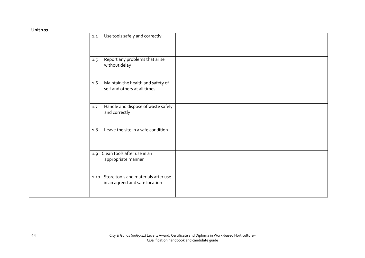| - - - - - - , |                                                                            |
|---------------|----------------------------------------------------------------------------|
|               | Use tools safely and correctly<br>1.4                                      |
|               | Report any problems that arise<br>1.5<br>without delay                     |
|               | Maintain the health and safety of<br>1.6<br>self and others at all times   |
|               | Handle and dispose of waste safely<br>1.7<br>and correctly                 |
|               | Leave the site in a safe condition<br>1.8                                  |
|               | 1.9 Clean tools after use in an<br>appropriate manner                      |
|               | 1.10 Store tools and materials after use<br>in an agreed and safe location |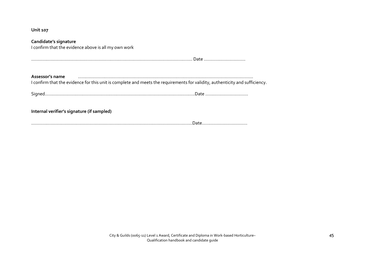| <b>Unit 107</b> |  |
|-----------------|--|
|-----------------|--|

I confirm that the evidence above is all my own work

|--|

| Assessor <sup>.</sup><br>name |  |  |  |  |
|-------------------------------|--|--|--|--|
|                               |  |  |  |  |

I confirm that the evidence for this unit is complete and meets the requirements for validity, authenticity and sufficiency.

|--|

**Internal verifier's signature (if sampled)**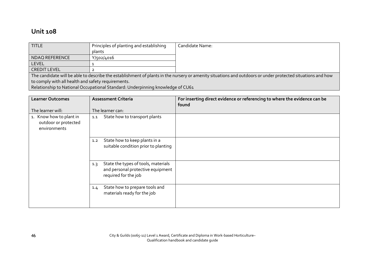| <b>TITLE</b>                                                                                                                                               | Principles of planting and establishing | Candidate Name: |  |  |  |
|------------------------------------------------------------------------------------------------------------------------------------------------------------|-----------------------------------------|-----------------|--|--|--|
|                                                                                                                                                            | plants                                  |                 |  |  |  |
| NDAQ REFERENCE                                                                                                                                             | Y/502/4016                              |                 |  |  |  |
| <b>LEVEL</b>                                                                                                                                               |                                         |                 |  |  |  |
| <b>CREDIT LEVEL</b>                                                                                                                                        |                                         |                 |  |  |  |
| The candidate will be able to describe the establishment of plants in the nursery or amenity situations and outdoors or under protected situations and how |                                         |                 |  |  |  |
| to comply with all health and safety requirements.                                                                                                         |                                         |                 |  |  |  |
| Relationship to National Occupational Standard: Underpinning knowledge of CU61                                                                             |                                         |                 |  |  |  |

| <b>Learner Outcomes</b>                                         | <b>Assessment Criteria</b>                                                                              | For inserting direct evidence or referencing to where the evidence can be<br>found |
|-----------------------------------------------------------------|---------------------------------------------------------------------------------------------------------|------------------------------------------------------------------------------------|
| The learner will:                                               | The learner can:                                                                                        |                                                                                    |
| 1. Know how to plant in<br>outdoor or protected<br>environments | State how to transport plants<br>1.1                                                                    |                                                                                    |
|                                                                 | State how to keep plants in a<br>1.2<br>suitable condition prior to planting                            |                                                                                    |
|                                                                 | State the types of tools, materials<br>1.3<br>and personal protective equipment<br>required for the job |                                                                                    |
|                                                                 | State how to prepare tools and<br>1.4<br>materials ready for the job                                    |                                                                                    |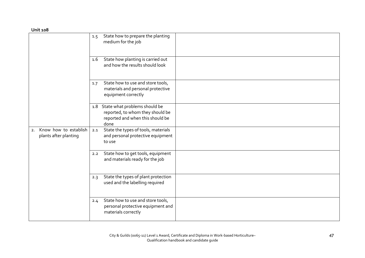| <b>Unit 108</b>                                      |                                                                                                                   |
|------------------------------------------------------|-------------------------------------------------------------------------------------------------------------------|
|                                                      | State how to prepare the planting<br>1.5<br>medium for the job                                                    |
|                                                      | State how planting is carried out<br>1.6<br>and how the results should look                                       |
|                                                      | State how to use and store tools,<br>1.7<br>materials and personal protective<br>equipment correctly              |
|                                                      | 1.8 State what problems should be<br>reported, to whom they should be<br>reported and when this should be<br>done |
| Know how to establish<br>2.<br>plants after planting | State the types of tools, materials<br>2.1<br>and personal protective equipment<br>to use                         |
|                                                      | State how to get tools, equipment<br>2.2<br>and materials ready for the job                                       |
|                                                      | State the types of plant protection<br>2.3<br>used and the labelling required                                     |
|                                                      | State how to use and store tools,<br>2.4<br>personal protective equipment and<br>materials correctly              |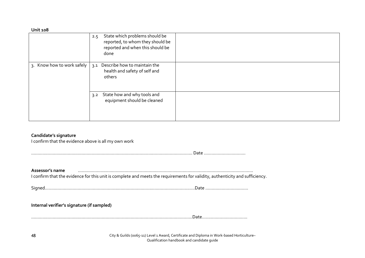| Unit 108                   |                                                                                                                       |
|----------------------------|-----------------------------------------------------------------------------------------------------------------------|
|                            | State which problems should be<br>2.5<br>reported, to whom they should be<br>reported and when this should be<br>done |
| 3. Know how to work safely | Describe how to maintain the<br>3.1<br>health and safety of self and<br>others                                        |
|                            | State how and why tools and<br>3.2<br>equipment should be cleaned                                                     |

I confirm that the evidence above is all my own work

……………………………………………………………………………………………………………….. Date …………………………...

**Assessor's name** ………………………………………………………………………………………………………………………….

I confirm that the evidence for this unit is complete and meets the requirements for validity, authenticity and sufficiency.

Signed………………………………………………………………………………………………………..Date …………………………….

| Internal verifier's signature (if sampled) |  |
|--------------------------------------------|--|
|--------------------------------------------|--|

………………………………………………………………………………………………………………..Date………………………………

City & Guilds (0065-11) Level 1 Award, Certificate and Diploma in Work-based Horticulture– Qualification handbook and candidate guide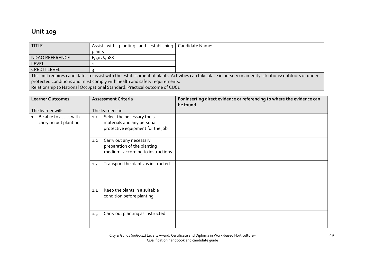| TITLE                                                                                                                                                   | Assist with planting and establishing   Candidate Name: |  |  |  |  |  |
|---------------------------------------------------------------------------------------------------------------------------------------------------------|---------------------------------------------------------|--|--|--|--|--|
|                                                                                                                                                         | plants                                                  |  |  |  |  |  |
| NDAQ REFERENCE                                                                                                                                          | F/502/4088                                              |  |  |  |  |  |
| <b>LEVEL</b>                                                                                                                                            |                                                         |  |  |  |  |  |
| <b>CREDIT LEVEL</b>                                                                                                                                     |                                                         |  |  |  |  |  |
| This unit requires candidates to assist with the establishment of plants. Activities can take place in nursery or amenity situations; outdoors or under |                                                         |  |  |  |  |  |
| protected conditions and must comply with health and safety requirements.                                                                               |                                                         |  |  |  |  |  |
| Relationship to National Occupational Standard: Practical outcome of CU61                                                                               |                                                         |  |  |  |  |  |

| <b>Learner Outcomes</b>                               | <b>Assessment Criteria</b>                                                                           | For inserting direct evidence or referencing to where the evidence can |
|-------------------------------------------------------|------------------------------------------------------------------------------------------------------|------------------------------------------------------------------------|
|                                                       |                                                                                                      | be found                                                               |
| The learner will:                                     | The learner can:                                                                                     |                                                                        |
| Be able to assist with<br>1.<br>carrying out planting | Select the necessary tools,<br>1.1<br>materials and any personal<br>protective equipment for the job |                                                                        |
|                                                       | Carry out any necessary<br>1.2<br>preparation of the planting<br>medium according to instructions    |                                                                        |
|                                                       | Transport the plants as instructed<br>1.3                                                            |                                                                        |
|                                                       | Keep the plants in a suitable<br>1.4<br>condition before planting                                    |                                                                        |
|                                                       | Carry out planting as instructed<br>1.5                                                              |                                                                        |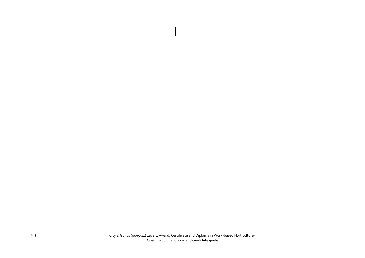H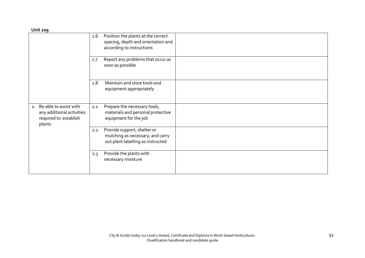| <b>Unit 109</b>                                                                              |     |                                                                                                       |  |
|----------------------------------------------------------------------------------------------|-----|-------------------------------------------------------------------------------------------------------|--|
|                                                                                              | 1.6 | Position the plants at the correct<br>spacing, depth and orientation and<br>according to instructions |  |
|                                                                                              | 1.7 | Report any problems that occur as<br>soon as possible                                                 |  |
|                                                                                              | 1.8 | Maintain and store tools and<br>equipment appropriately                                               |  |
| Be able to assist with<br>2.<br>any additional activities<br>required to establish<br>plants | 2.1 | Prepare the necessary tools,<br>materials and personal protective<br>equipment for the job            |  |
|                                                                                              | 2.2 | Provide support, shelter or<br>mulching as necessary, and carry<br>out plant labelling as instructed  |  |
|                                                                                              | 2.3 | Provide the plants with<br>necessary moisture                                                         |  |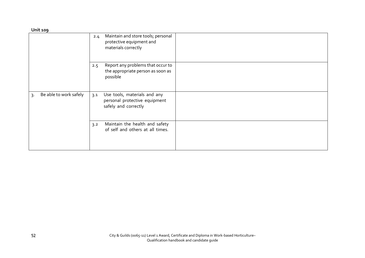|    | <b>Unit 109</b>        |     |                                                                                       |  |
|----|------------------------|-----|---------------------------------------------------------------------------------------|--|
|    |                        | 2.4 | Maintain and store tools; personal<br>protective equipment and<br>materials correctly |  |
|    |                        | 2.5 | Report any problems that occur to<br>the appropriate person as soon as<br>possible    |  |
| 3. | Be able to work safely | 3.1 | Use tools, materials and any<br>personal protective equipment<br>safely and correctly |  |
|    |                        | 3.2 | Maintain the health and safety<br>of self and others at all times.                    |  |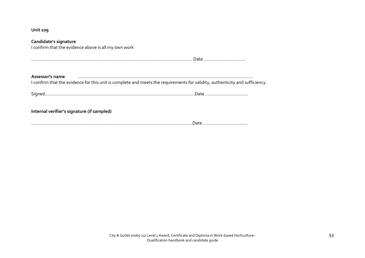## **Candidate's signature**

I confirm that the evidence above is all my own work

|--|

| Assessor's name |                                                                                                                              |
|-----------------|------------------------------------------------------------------------------------------------------------------------------|
|                 | I confirm that the evidence for this unit is complete and meets the requirements for validity, authenticity and sufficiency. |

| $\sim$ . |
|----------|
|----------|

**Internal verifier's signature (if sampled)**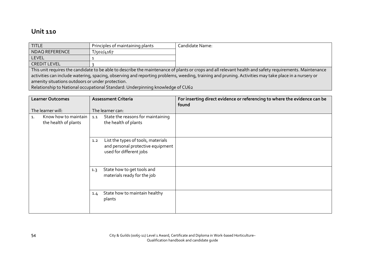| <b>TITLE</b>                                                                                                                                            | Principles of maintaining plants | Candidate Name: |  |
|---------------------------------------------------------------------------------------------------------------------------------------------------------|----------------------------------|-----------------|--|
| NDAQ REFERENCE<br>T/502/4167                                                                                                                            |                                  |                 |  |
| <b>LEVEL</b>                                                                                                                                            |                                  |                 |  |
| <b>CREDIT LEVEL</b>                                                                                                                                     |                                  |                 |  |
| This unit requires the candidate to be able to describe the maintenance of plants or crops and all relevant health and safety requirements. Maintenance |                                  |                 |  |
| activities can include watering, spacing, observing and reporting problems, weeding, training and pruning. Activities may take place in a nursery or    |                                  |                 |  |
| amenity situations outdoors or under protection.                                                                                                        |                                  |                 |  |
| Pelationship to National occupational Standard, Underpinning knowledge of CU6a                                                                          |                                  |                 |  |

Relationship to National occupational Standard: Underpinning knowledge of CU62

| <b>Learner Outcomes</b> |                                              | <b>Assessment Criteria</b> |                                                                                                    | For inserting direct evidence or referencing to where the evidence can be<br>found |
|-------------------------|----------------------------------------------|----------------------------|----------------------------------------------------------------------------------------------------|------------------------------------------------------------------------------------|
| The learner will:       |                                              | The learner can:           |                                                                                                    |                                                                                    |
| $\mathbf{1}$            | Know how to maintain<br>the health of plants | 1.1                        | State the reasons for maintaining<br>the health of plants                                          |                                                                                    |
|                         |                                              | 1.2                        | List the types of tools, materials<br>and personal protective equipment<br>used for different jobs |                                                                                    |
|                         |                                              | 1.3                        | State how to get tools and<br>materials ready for the job                                          |                                                                                    |
|                         |                                              | 1.4                        | State how to maintain healthy<br>plants                                                            |                                                                                    |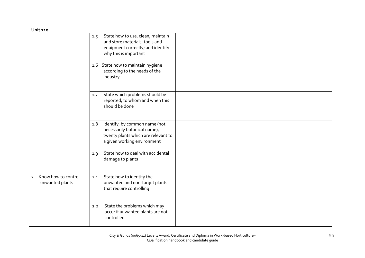| <b>Unit 110</b>                           |                                                                                                                                            |
|-------------------------------------------|--------------------------------------------------------------------------------------------------------------------------------------------|
|                                           | State how to use, clean, maintain<br>1.5<br>and store materials; tools and<br>equipment correctly; and identify<br>why this is important   |
|                                           | 1.6 State how to maintain hygiene<br>according to the needs of the<br>industry                                                             |
|                                           | State which problems should be<br>1.7<br>reported, to whom and when this<br>should be done                                                 |
|                                           | Identify, by common name (not<br>1.8<br>necessarily botanical name),<br>twenty plants which are relevant to<br>a given working environment |
|                                           | State how to deal with accidental<br>1.9<br>damage to plants                                                                               |
| 2. Know how to control<br>unwanted plants | State how to identify the<br>2.1<br>unwanted and non-target plants<br>that require controlling                                             |
|                                           | State the problems which may<br>2.2<br>occur if unwanted plants are not<br>controlled                                                      |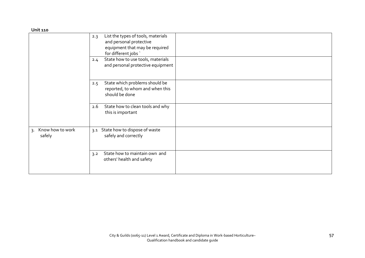| Init |  |
|------|--|
|------|--|

| ----- <del>--</del> -  |                                           |
|------------------------|-------------------------------------------|
|                        | List the types of tools, materials<br>2.3 |
|                        | and personal protective                   |
|                        | equipment that may be required            |
|                        | for different jobs '                      |
|                        | State how to use tools, materials<br>2.4  |
|                        | and personal protective equipment         |
|                        |                                           |
|                        |                                           |
|                        | State which problems should be<br>2.5     |
|                        | reported, to whom and when this           |
|                        | should be done                            |
|                        |                                           |
|                        | State how to clean tools and why<br>2.6   |
|                        | this is important                         |
|                        |                                           |
|                        |                                           |
| Know how to work<br>3. | State how to dispose of waste<br>3.1      |
| safely                 | safely and correctly                      |
|                        |                                           |
|                        |                                           |
|                        | State how to maintain own and<br>3.2      |
|                        | others' health and safety                 |
|                        |                                           |
|                        |                                           |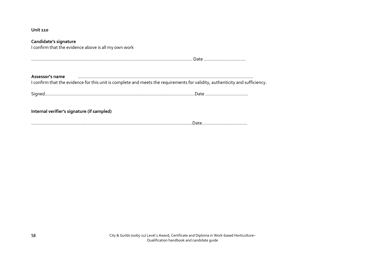## **Candidate's signature**

I confirm that the evidence above is all my own work

|--|

| Assessor's na |                                                                                                                                                                                                                                             |
|---------------|---------------------------------------------------------------------------------------------------------------------------------------------------------------------------------------------------------------------------------------------|
|               | .<br>to a complete the second contract of the complete of the complete of the complete of the complete of the complete of the complete of the complete of the complete of the complete of the complete of the complete of the compl<br>____ |

I confirm that the evidence for this unit is complete and meets the requirements for validity, authenticity and sufficiency.

|--|

**Internal verifier's signature (if sampled)**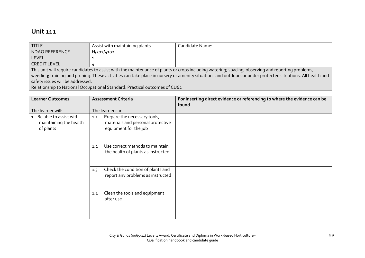| <b>TITLE</b>                                                                                                                                               | Assist with maintaining plants | Candidate Name: |  |  |
|------------------------------------------------------------------------------------------------------------------------------------------------------------|--------------------------------|-----------------|--|--|
| NDAQ REFERENCE                                                                                                                                             | H/502/4102                     |                 |  |  |
| <b>LEVEL</b>                                                                                                                                               |                                |                 |  |  |
| <b>CREDIT LEVEL</b>                                                                                                                                        |                                |                 |  |  |
| This unit will require candidates to assist with the maintenance of plants or crops including watering; spacing; observing and reporting problems;         |                                |                 |  |  |
| weeding; training and pruning. These activities can take place in nursery or amenity situations and outdoors or under protected situations. All health and |                                |                 |  |  |
| safety issues will be addressed.                                                                                                                           |                                |                 |  |  |
| Polationship to National Oscupational Standard, Practical outcomes of CUSa                                                                                 |                                |                 |  |  |

Relationship to National Occupational Standard: Practical outcomes of CU62

| <b>Assessment Criteria</b><br><b>Learner Outcomes</b>            |                                                                                                   | For inserting direct evidence or referencing to where the evidence can be |
|------------------------------------------------------------------|---------------------------------------------------------------------------------------------------|---------------------------------------------------------------------------|
|                                                                  |                                                                                                   | found                                                                     |
| The learner will:                                                | The learner can:                                                                                  |                                                                           |
| 1. Be able to assist with<br>maintaining the health<br>of plants | Prepare the necessary tools,<br>1.1<br>materials and personal protective<br>equipment for the job |                                                                           |
|                                                                  | Use correct methods to maintain<br>1.2<br>the health of plants as instructed                      |                                                                           |
|                                                                  | Check the condition of plants and<br>1.3<br>report any problems as instructed                     |                                                                           |
|                                                                  | Clean the tools and equipment<br>1.4<br>after use                                                 |                                                                           |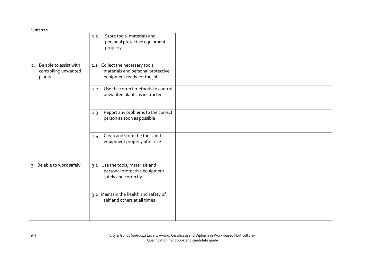| Unit 111                                                       |                                                                                                      |
|----------------------------------------------------------------|------------------------------------------------------------------------------------------------------|
|                                                                | Store tools, materials and<br>1.5<br>personal protective equipment<br>properly                       |
| Be able to assist with<br>2.<br>controlling unwanted<br>plants | 2.1 Collect the necessary tools,<br>materials and personal protective<br>equipment ready for the job |
|                                                                | Use the correct methods to control<br>2.2<br>unwanted plants as instructed                           |
|                                                                | Report any problems to the correct<br>2.3<br>person as soon as possible                              |
|                                                                | Clean and store the tools and<br>2.4<br>equipment properly after use                                 |
| 3. Be able to work safely                                      | 3.1 Use the tools, materials and<br>personal protective equipment<br>safely and correctly            |
|                                                                | 3.2 Maintain the health and safety of<br>self and others at all times                                |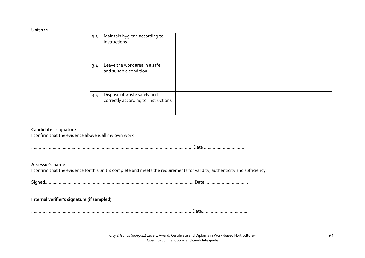| Maintain hygiene according to<br>3.3<br>instructions                      |  |
|---------------------------------------------------------------------------|--|
| Leave the work area in a safe<br>3.4<br>and suitable condition            |  |
| Dispose of waste safely and<br>3.5<br>correctly according to instructions |  |

#### **Candidate's signature**

I confirm that the evidence above is all my own work

……………………………………………………………………………………………………………….. Date …………………………...

#### **Assessor's name** ………………………………………………………………………………………………………………………….

I confirm that the evidence for this unit is complete and meets the requirements for validity, authenticity and sufficiency.

Signed………………………………………………………………………………………………………..Date …………………………….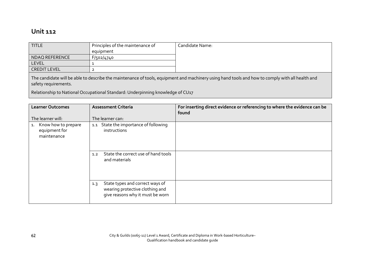| <b>TITLE</b>         | Principles of the maintenance of | Candidate Name:                                                                                                                                 |
|----------------------|----------------------------------|-------------------------------------------------------------------------------------------------------------------------------------------------|
|                      | equipment                        |                                                                                                                                                 |
| NDAQ REFERENCE       | F/502/4740                       |                                                                                                                                                 |
| <b>LEVEL</b>         |                                  |                                                                                                                                                 |
| <b>CREDIT LEVEL</b>  |                                  |                                                                                                                                                 |
| safety requirements. |                                  | The candidate will be able to describe the maintenance of tools, equipment and machinery using hand tools and how to comply with all health and |

Relationship to National Occupational Standard: Underpinning knowledge of CU17

| <b>Learner Outcomes</b>                                   | <b>Assessment Criteria</b>                                                                                    | For inserting direct evidence or referencing to where the evidence can be<br>found |
|-----------------------------------------------------------|---------------------------------------------------------------------------------------------------------------|------------------------------------------------------------------------------------|
| The learner will:                                         | The learner can:                                                                                              |                                                                                    |
| Know how to prepare<br>1.<br>equipment for<br>maintenance | State the importance of following<br>1.1<br>instructions                                                      |                                                                                    |
|                                                           | State the correct use of hand tools<br>1.2<br>and materials                                                   |                                                                                    |
|                                                           | State types and correct ways of<br>1.3<br>wearing protective clothing and<br>give reasons why it must be worn |                                                                                    |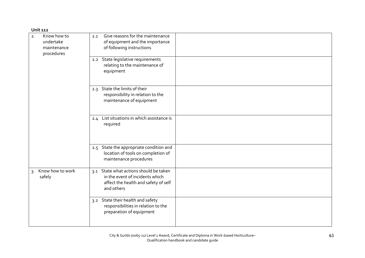| <b>Unit 112</b> |                                                       |     |                                                                                                                                 |  |
|-----------------|-------------------------------------------------------|-----|---------------------------------------------------------------------------------------------------------------------------------|--|
| 2.              | Know how to<br>undertake<br>maintenance<br>procedures | 2.1 | Give reasons for the maintenance<br>of equipment and the importance<br>of following instructions                                |  |
|                 |                                                       |     | 2.2 State legislative requirements<br>relating to the maintenance of<br>equipment                                               |  |
|                 |                                                       |     | 2.3 State the limits of their<br>responsibility in relation to the<br>maintenance of equipment                                  |  |
|                 |                                                       |     | 2.4 List situations in which assistance is<br>required                                                                          |  |
|                 |                                                       |     | 2.5 State the appropriate condition and<br>location of tools on completion of<br>maintenance procedures                         |  |
| 3.              | Know how to work<br>safely                            |     | 3.1 State what actions should be taken<br>in the event of incidents which<br>affect the health and safety of self<br>and others |  |
|                 |                                                       |     | 3.2 State their health and safety<br>responsibilities in relation to the<br>preparation of equipment                            |  |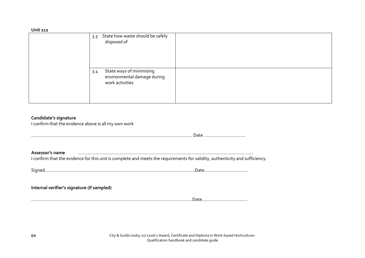| 11 L |  |
|------|--|
|------|--|

| 3.3 | State how waste should be safely<br>disposed of                            |  |
|-----|----------------------------------------------------------------------------|--|
| 3.4 | State ways of minimising<br>environmental damage during<br>work activities |  |

I confirm that the evidence above is all my own work

……………………………………………………………………………………………………………….. Date …………………………...

**Assessor's name** ………………………………………………………………………………………………………………………….

I confirm that the evidence for this unit is complete and meets the requirements for validity, authenticity and sufficiency.

Signed………………………………………………………………………………………………………..Date …………………………….

| Internal verifier's signature (if sampled) |  |
|--------------------------------------------|--|
|--------------------------------------------|--|

………………………………………………………………………………………………………………..Date………………………………

City & Guilds (0065-11) Level 1 Award, Certificate and Diploma in Work-based Horticulture– Qualification handbook and candidate guide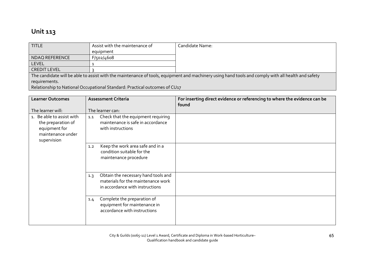| Assist with the maintenance of                                                                                                                     | Candidate Name: |  |
|----------------------------------------------------------------------------------------------------------------------------------------------------|-----------------|--|
| equipment                                                                                                                                          |                 |  |
| F/502/4608                                                                                                                                         |                 |  |
|                                                                                                                                                    |                 |  |
|                                                                                                                                                    |                 |  |
| The candidate will be able to assist with the maintenance of tools, equipment and machinery using hand tools and comply with all health and safety |                 |  |
| requirements.                                                                                                                                      |                 |  |
|                                                                                                                                                    |                 |  |

Relationship to National Occupational Standard: Practical outcomes of CU17

| <b>Learner Outcomes</b>                                                                              | <b>Assessment Criteria</b>                                                                                          | For inserting direct evidence or referencing to where the evidence can be |
|------------------------------------------------------------------------------------------------------|---------------------------------------------------------------------------------------------------------------------|---------------------------------------------------------------------------|
|                                                                                                      |                                                                                                                     | found                                                                     |
| The learner will:                                                                                    | The learner can:                                                                                                    |                                                                           |
| 1. Be able to assist with<br>the preparation of<br>equipment for<br>maintenance under<br>supervision | Check that the equipment requiring<br>1.1<br>maintenance is safe in accordance<br>with instructions                 |                                                                           |
|                                                                                                      | Keep the work area safe and in a<br>1.2<br>condition suitable for the<br>maintenance procedure                      |                                                                           |
|                                                                                                      | Obtain the necessary hand tools and<br>1.3<br>materials for the maintenance work<br>in accordance with instructions |                                                                           |
|                                                                                                      | Complete the preparation of<br>1.4<br>equipment for maintenance in<br>accordance with instructions                  |                                                                           |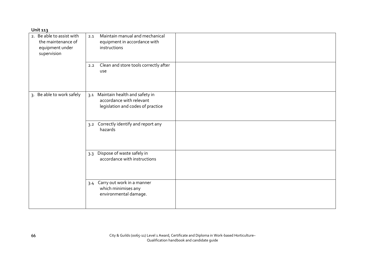| Unit 113                                                                          |                                                                                                       |
|-----------------------------------------------------------------------------------|-------------------------------------------------------------------------------------------------------|
| 2. Be able to assist with<br>the maintenance of<br>equipment under<br>supervision | Maintain manual and mechanical<br>2.1<br>equipment in accordance with<br>instructions                 |
|                                                                                   | Clean and store tools correctly after<br>2.2<br><b>USe</b>                                            |
| 3. Be able to work safely                                                         | Maintain health and safety in<br>3.1<br>accordance with relevant<br>legislation and codes of practice |
|                                                                                   | Correctly identify and report any<br>3.2<br>hazards                                                   |
|                                                                                   | Dispose of waste safely in<br>3.3<br>accordance with instructions                                     |
|                                                                                   | 3.4 Carry out work in a manner<br>which minimises any<br>environmental damage.                        |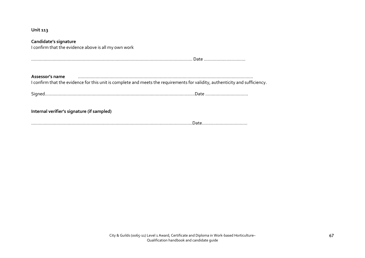### **Candidate's signature**

I confirm that the evidence above is all my own work

|--|

| Assessor's name |                                                                                                                             |
|-----------------|-----------------------------------------------------------------------------------------------------------------------------|
|                 | I confirm that the evidence for this unit is complete and meets the requirements for validity, authenticity and sufficiency |

Signed………………………………………………………………………………………………………..Date …………………………….

**Internal verifier's signature (if sampled)**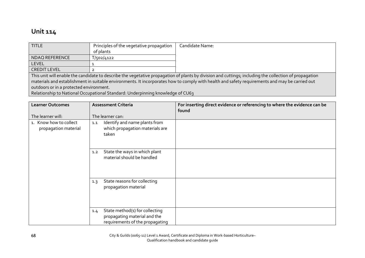| This unit will enable the candidate to describe the vegetative propagation of plants by division and cuttings; including the collection of propagation |  |  |  |
|--------------------------------------------------------------------------------------------------------------------------------------------------------|--|--|--|
| materials and establishment in suitable environments. It incorporates how to comply with health and safety requirements and may be carried out         |  |  |  |
| outdoors or in a protected environment.                                                                                                                |  |  |  |
|                                                                                                                                                        |  |  |  |

Relationship to National Occupational Standard: Underpinning knowledge of CU63

| <b>Learner Outcomes</b>                        | <b>Assessment Criteria</b>                                                                               | For inserting direct evidence or referencing to where the evidence can be |  |
|------------------------------------------------|----------------------------------------------------------------------------------------------------------|---------------------------------------------------------------------------|--|
|                                                |                                                                                                          | found                                                                     |  |
| The learner will:                              | The learner can:                                                                                         |                                                                           |  |
| 1. Know how to collect<br>propagation material | Identify and name plants from<br>1.1<br>which propagation materials are<br>taken                         |                                                                           |  |
|                                                | State the ways in which plant<br>1.2<br>material should be handled                                       |                                                                           |  |
|                                                | State reasons for collecting<br>1.3<br>propagation material                                              |                                                                           |  |
|                                                | State method(s) for collecting<br>1.4<br>propagating material and the<br>requirements of the propagating |                                                                           |  |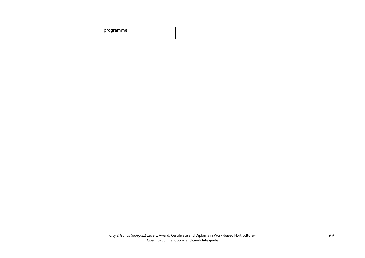| programme |
|-----------|
|-----------|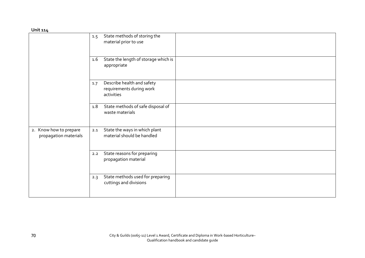| 'nıt |  |
|------|--|
|------|--|

| UIIIL 114                                       |                                                                             |
|-------------------------------------------------|-----------------------------------------------------------------------------|
|                                                 | State methods of storing the<br>1.5<br>material prior to use                |
|                                                 | State the length of storage which is<br>1.6<br>appropriate                  |
|                                                 | Describe health and safety<br>1.7<br>requirements during work<br>activities |
|                                                 | State methods of safe disposal of<br>1.8<br>waste materials                 |
| 2. Know how to prepare<br>propagation materials | State the ways in which plant<br>2.1<br>material should be handled          |
|                                                 | State reasons for preparing<br>2.2<br>propagation material                  |
|                                                 | State methods used for preparing<br>2.3<br>cuttings and divisions           |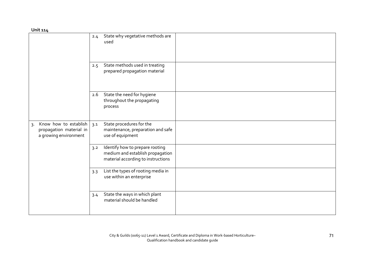| Unit 114                                                                        |     |                                                                                                           |  |
|---------------------------------------------------------------------------------|-----|-----------------------------------------------------------------------------------------------------------|--|
|                                                                                 | 2.4 | State why vegetative methods are<br>used                                                                  |  |
|                                                                                 | 2.5 | State methods used in treating<br>prepared propagation material                                           |  |
|                                                                                 | 2.6 | State the need for hygiene<br>throughout the propagating<br>process                                       |  |
| Know how to establish<br>3.<br>propagation material in<br>a growing environment | 3.1 | State procedures for the<br>maintenance, preparation and safe<br>use of equipment                         |  |
|                                                                                 | 3.2 | Identify how to prepare rooting<br>medium and establish propagation<br>material according to instructions |  |
|                                                                                 | 3.3 | List the types of rooting media in<br>use within an enterprise                                            |  |
|                                                                                 | 3.4 | State the ways in which plant<br>material should be handled                                               |  |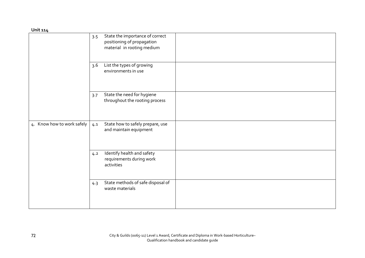| Unit 114                   |     |                                                                                             |  |
|----------------------------|-----|---------------------------------------------------------------------------------------------|--|
|                            | 3.5 | State the importance of correct<br>positioning of propagation<br>material in rooting medium |  |
|                            | 3.6 | List the types of growing<br>environments in use                                            |  |
|                            | 3.7 | State the need for hygiene<br>throughout the rooting process                                |  |
| 4. Know how to work safely | 4.1 | State how to safely prepare, use<br>and maintain equipment                                  |  |
|                            | 4.2 | Identify health and safety<br>requirements during work<br>activities                        |  |
|                            | 4.3 | State methods of safe disposal of<br>waste materials                                        |  |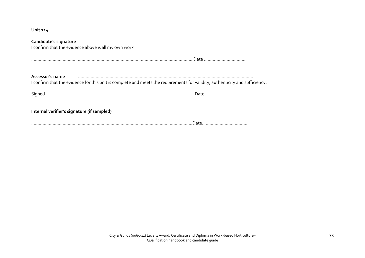## **Candidate's signature**

I confirm that the evidence above is all my own work

|--|

| Assessor's name |  |
|-----------------|--|
|-----------------|--|

I confirm that the evidence for this unit is complete and meets the requirements for validity, authenticity and sufficiency.

|--|

**Internal verifier's signature (if sampled)**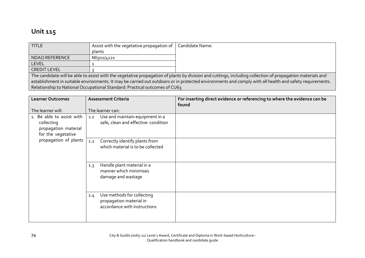| <b>TITLE</b>                                                                                                                                               | Assist with the vegetative propagation of | Candidate Name: |  |
|------------------------------------------------------------------------------------------------------------------------------------------------------------|-------------------------------------------|-----------------|--|
|                                                                                                                                                            | plants                                    |                 |  |
| NDAQ REFERENCE                                                                                                                                             | M/502/4121                                |                 |  |
| <b>LEVEL</b>                                                                                                                                               |                                           |                 |  |
| <b>CREDIT LEVEL</b>                                                                                                                                        |                                           |                 |  |
| The candidate will be able to assist with the vegetative propagation of plants by division and cuttings, including collection of propagation materials and |                                           |                 |  |
| establishment in suitable environments. It may be carried out outdoors or in protected environments and comply with all health and safety requirements.    |                                           |                 |  |
| Relationship to National Occupational Standard: Practical outcomes of CU63                                                                                 |                                           |                 |  |

| <b>Learner Outcomes</b>                                                                                        | <b>Assessment Criteria</b>                                                                   | For inserting direct evidence or referencing to where the evidence can be<br>found |
|----------------------------------------------------------------------------------------------------------------|----------------------------------------------------------------------------------------------|------------------------------------------------------------------------------------|
| The learner will:                                                                                              | The learner can:                                                                             |                                                                                    |
| 1. Be able to assist with<br>collecting<br>propagation material<br>for the vegetative<br>propagation of plants | Use and maintain equipment in a<br>1.1<br>safe, clean and effective condition                |                                                                                    |
|                                                                                                                | Correctly identify plants from<br>1.2<br>which material is to be collected                   |                                                                                    |
|                                                                                                                | Handle plant material in a<br>1.3<br>manner which minimises<br>damage and wastage            |                                                                                    |
|                                                                                                                | Use methods for collecting<br>1.4<br>propagation material in<br>accordance with instructions |                                                                                    |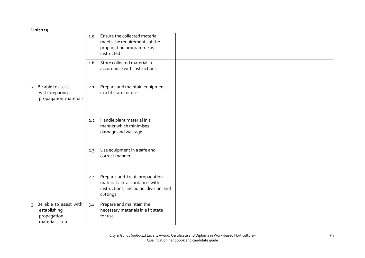| Unit 115                                                                   |     |                                                                                                                   |  |
|----------------------------------------------------------------------------|-----|-------------------------------------------------------------------------------------------------------------------|--|
|                                                                            | 1.5 | Ensure the collected material<br>meets the requirements of the<br>propagating programme as<br>instructed          |  |
|                                                                            | 1.6 | Store collected material in<br>accordance with instructions                                                       |  |
| 2. Be able to assist<br>with preparing<br>propagation materials            | 2.1 | Prepare and maintain equipment<br>in a fit state for use                                                          |  |
|                                                                            | 2.2 | Handle plant material in a<br>manner which minimises<br>damage and wastage                                        |  |
|                                                                            | 2.3 | Use equipment in a safe and<br>correct manner                                                                     |  |
|                                                                            | 2.4 | Prepare and treat propagation<br>materials in accordance with<br>instructions; including division and<br>cuttings |  |
| 3. Be able to assist with<br>establishing<br>propagation<br>materials in a | 3.1 | Prepare and maintain the<br>necessary materials in a fit state<br>for use                                         |  |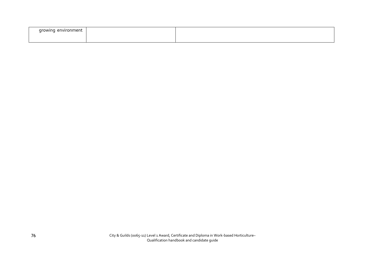| ം സ്ഥാപന്ത്രണ്ട് പ<br>arowina |  |
|-------------------------------|--|
|                               |  |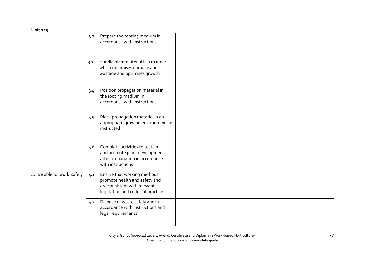| Unit 115                  |     |                                                                                                                                   |  |
|---------------------------|-----|-----------------------------------------------------------------------------------------------------------------------------------|--|
|                           | 3.2 | Prepare the rooting medium in<br>accordance with instructions                                                                     |  |
|                           | 3.3 | Handle plant material in a manner<br>which minimises damage and<br>wastage and optimises growth                                   |  |
|                           | 3.4 | Position propagation material in<br>the rooting medium in<br>accordance with instructions                                         |  |
|                           | 3.5 | Place propagation material in an<br>appropriate growing environment as<br>instructed                                              |  |
|                           | 3.6 | Complete activities to sustain<br>and promote plant development<br>after propagation in accordance<br>with instructions           |  |
| 4. Be able to work safely | 4.1 | Ensure that working methods<br>promote health and safety and<br>are consistent with relevant<br>legislation and codes of practice |  |
|                           | 4.2 | Dispose of waste safely and in<br>accordance with instructions and<br>legal requirements                                          |  |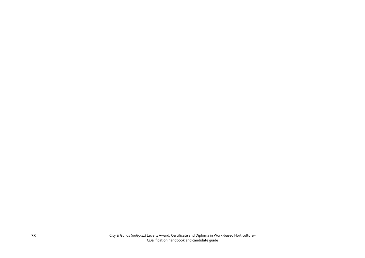City & Guilds (0065 -11 ) Level 1 Award, Certificate and Diploma in Work -based Horticulture – Qualification handbook and candidate guide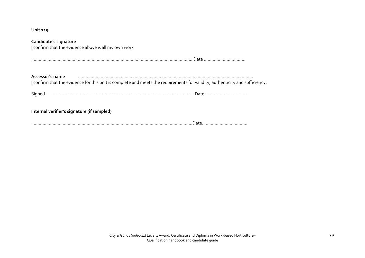## **Candidate's signature**

I confirm that the evidence above is all my own work

|--|

| Assessor's name |                                                                                                                              |
|-----------------|------------------------------------------------------------------------------------------------------------------------------|
|                 | I confirm that the evidence for this unit is complete and meets the requirements for validity, authenticity and sufficiency. |

Signed………………………………………………………………………………………………………..Date …………………………….

**Internal verifier's signature (if sampled)**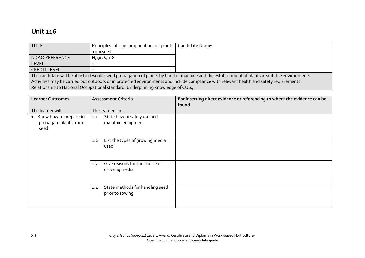| <b>TITLE</b>                                                                                                                                   | Principles of the propagation of plants   Candidate Name: |  |  |
|------------------------------------------------------------------------------------------------------------------------------------------------|-----------------------------------------------------------|--|--|
|                                                                                                                                                | from seed                                                 |  |  |
| NDAQ REFERENCE                                                                                                                                 | H/502/4018                                                |  |  |
| <b>LEVEL</b>                                                                                                                                   |                                                           |  |  |
| <b>CREDIT LEVEL</b>                                                                                                                            |                                                           |  |  |
| The candidate will be able to describe seed propagation of plants by hand or machine and the establishment of plants in suitable environments. |                                                           |  |  |
| Activities may be carried out outdoors or in protected environments and include compliance with relevant health and safety requirements.       |                                                           |  |  |
| Relationship to National Occupational standard: Underpinning knowledge of CU64                                                                 |                                                           |  |  |

| <b>Learner Outcomes</b>                                    | <b>Assessment Criteria</b>                                | For inserting direct evidence or referencing to where the evidence can be<br>found |
|------------------------------------------------------------|-----------------------------------------------------------|------------------------------------------------------------------------------------|
| The learner will:                                          | The learner can:                                          |                                                                                    |
| 1. Know how to prepare to<br>propagate plants from<br>seed | State how to safely use and<br>1.1<br>maintain equipment  |                                                                                    |
|                                                            | List the types of growing media<br>1.2<br>used            |                                                                                    |
|                                                            | Give reasons for the choice of<br>1.3<br>growing media    |                                                                                    |
|                                                            | State methods for handling seed<br>1.4<br>prior to sowing |                                                                                    |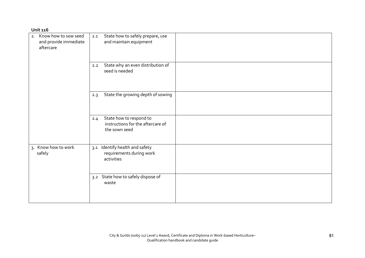| Unit 116                                                      |                                                                                      |
|---------------------------------------------------------------|--------------------------------------------------------------------------------------|
| 2. Know how to sow seed<br>and provide immediate<br>aftercare | State how to safely prepare, use<br>2.1<br>and maintain equipment                    |
|                                                               | State why an even distribution of<br>2.2<br>seed is needed                           |
|                                                               | State the growing depth of sowing<br>2.3                                             |
|                                                               | State how to respond to<br>2.4<br>instructions for the aftercare of<br>the sown seed |
| 3. Know how to work<br>safely                                 | 3.1 Identify health and safety<br>requirements during work<br>activities             |
|                                                               | 3.2 State how to safely dispose of<br>waste                                          |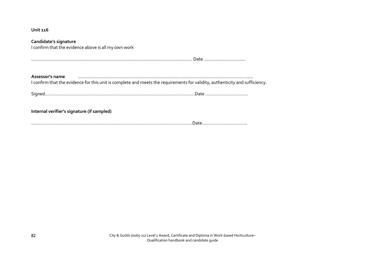### **Candidate's signature**

I confirm that the evidence above is all my own work

|--|

I confirm that the evidence for this unit is complete and meets the requirements for validity, authenticity and sufficiency.

|--|

**Internal verifier's signature (if sampled)**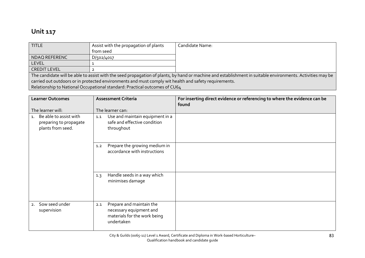| <b>TITLE</b>                                                                                                                                               | Assist with the propagation of plants | Candidate Name: |  |
|------------------------------------------------------------------------------------------------------------------------------------------------------------|---------------------------------------|-----------------|--|
|                                                                                                                                                            | from seed                             |                 |  |
| NDAQ REFERENC                                                                                                                                              | D/502/4017                            |                 |  |
| <b>LEVEL</b>                                                                                                                                               |                                       |                 |  |
| <b>CREDIT LEVEL</b>                                                                                                                                        |                                       |                 |  |
| The candidate will be able to assist with the seed propagation of plants, by hand or machine and establishment in suitable environments. Activities may be |                                       |                 |  |
| carried out outdoors or in protected environments and must comply wit health and safety requirements.                                                      |                                       |                 |  |
| Relationship to National Occupational standard: Practical outcomes of CU64                                                                                 |                                       |                 |  |

| <b>Learner Outcomes</b>                                                     | <b>Assessment Criteria</b>                                                                               | For inserting direct evidence or referencing to where the evidence can be<br>found |
|-----------------------------------------------------------------------------|----------------------------------------------------------------------------------------------------------|------------------------------------------------------------------------------------|
| The learner will:                                                           | The learner can:                                                                                         |                                                                                    |
| Be able to assist with<br>1.<br>preparing to propagate<br>plants from seed. | Use and maintain equipment in a<br>1.1<br>safe and effective condition<br>throughout                     |                                                                                    |
|                                                                             | Prepare the growing medium in<br>1.2<br>accordance with instructions                                     |                                                                                    |
|                                                                             | Handle seeds in a way which<br>1.3<br>minimises damage                                                   |                                                                                    |
| Sow seed under<br>2.<br>supervision                                         | Prepare and maintain the<br>2.1<br>necessary equipment and<br>materials for the work being<br>undertaken |                                                                                    |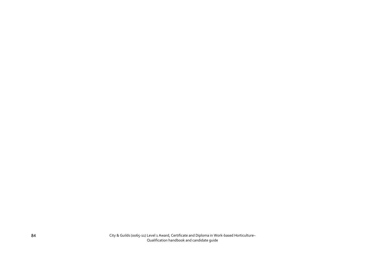City & Guilds (0065 -11 ) Level 1 Award, Certificate and Diploma in Work -based Horticulture – Qualification handbook and candidate guide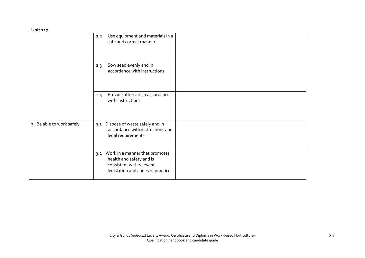| Unit 117                  |                                                                                                                                 |  |
|---------------------------|---------------------------------------------------------------------------------------------------------------------------------|--|
|                           | Use equipment and materials in a<br>2.2<br>safe and correct manner                                                              |  |
|                           | Sow seed evenly and in<br>2.3<br>accordance with instructions                                                                   |  |
|                           | Provide aftercare in accordance<br>2.4<br>with instructions                                                                     |  |
| 3. Be able to work safely | Dispose of waste safely and in<br>3.1<br>accordance with instructions and<br>legal requirements                                 |  |
|                           | 3.2 Work in a manner that promotes<br>health and safety and is<br>consistent with relevant<br>legislation and codes of practice |  |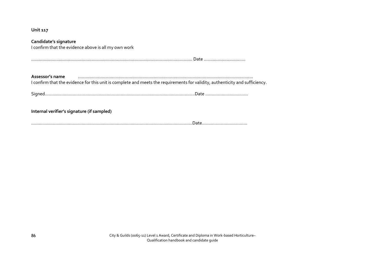## **Candidate's signature**

I confirm that the evidence above is all my own work

|--|

| Assessor's name |                                                                                                                              |
|-----------------|------------------------------------------------------------------------------------------------------------------------------|
|                 | I confirm that the evidence for this unit is complete and meets the requirements for validity, authenticity and sufficiency. |

| oluller. |
|----------|
|----------|

**Internal verifier's signature (if sampled)**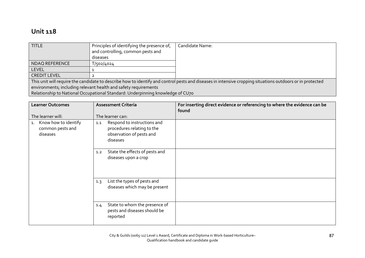| <b>TITLE</b>                                                                                                                                              | Principles of identifying the presence of,<br>and controlling, common pests and | Candidate Name: |  |
|-----------------------------------------------------------------------------------------------------------------------------------------------------------|---------------------------------------------------------------------------------|-----------------|--|
|                                                                                                                                                           | diseases                                                                        |                 |  |
| NDAQ REFERENCE                                                                                                                                            | T/502/4024                                                                      |                 |  |
| LEVEL                                                                                                                                                     |                                                                                 |                 |  |
| <b>CREDIT LEVEL</b>                                                                                                                                       |                                                                                 |                 |  |
| This unit will require the candidate to describe how to identify and control pests and diseases in intensive cropping situations outdoors or in protected |                                                                                 |                 |  |
| environments; including relevant health and safety requirements                                                                                           |                                                                                 |                 |  |
| Relationship to National Occupational Standard: Underpinning knowledge of CU70                                                                            |                                                                                 |                 |  |

| <b>Learner Outcomes</b>                                    | <b>Assessment Criteria</b>                                                                               | For inserting direct evidence or referencing to where the evidence can be<br>found |
|------------------------------------------------------------|----------------------------------------------------------------------------------------------------------|------------------------------------------------------------------------------------|
| The learner will:                                          | The learner can:                                                                                         |                                                                                    |
| Know how to identify<br>1.<br>common pests and<br>diseases | Respond to instructions and<br>1.1<br>procedures relating to the<br>observation of pests and<br>diseases |                                                                                    |
|                                                            | State the effects of pests and<br>1.2<br>diseases upon a crop                                            |                                                                                    |
|                                                            | List the types of pests and<br>1.3<br>diseases which may be present                                      |                                                                                    |
|                                                            | State to whom the presence of<br>1.4<br>pests and diseases should be<br>reported                         |                                                                                    |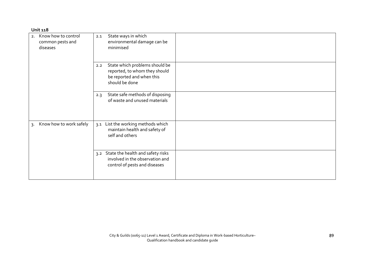|    | <b>Unit 118</b>                                     |                                                                                                                       |
|----|-----------------------------------------------------|-----------------------------------------------------------------------------------------------------------------------|
| 2. | Know how to control<br>common pests and<br>diseases | State ways in which<br>2.1<br>environmental damage can be<br>minimised                                                |
|    |                                                     | State which problems should be<br>2.2<br>reported, to whom they should<br>be reported and when this<br>should be done |
|    |                                                     | State safe methods of disposing<br>2.3<br>of waste and unused materials                                               |
| 3. | Know how to work safely                             | List the working methods which<br>3.1<br>maintain health and safety of<br>self and others                             |
|    |                                                     | State the health and safety risks<br>3.2<br>involved in the observation and<br>control of pests and diseases          |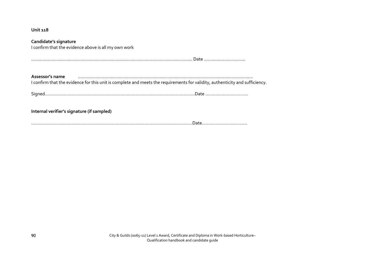## **Candidate's signature**

I confirm that the evidence above is all my own work

|--|

| Assessor's name |  |
|-----------------|--|
|-----------------|--|

I confirm that the evidence for this unit is complete and meets the requirements for validity, authenticity and sufficiency.

| - Unnon manusuusee maailmanus maailmanus maailmanus maailmanus maailmanus maailmanus maailmanus maailmanus maa |
|----------------------------------------------------------------------------------------------------------------|
|----------------------------------------------------------------------------------------------------------------|

**Internal verifier's signature (if sampled)**

|--|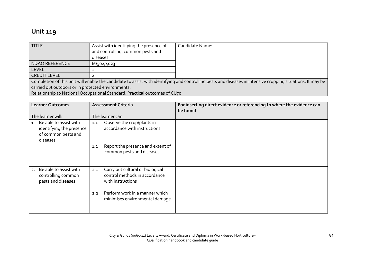| <b>TITLE</b>                                       | Assist with identifying the presence of,                                   | Candidate Name:                                                                                                                                             |
|----------------------------------------------------|----------------------------------------------------------------------------|-------------------------------------------------------------------------------------------------------------------------------------------------------------|
|                                                    | and controlling, common pests and                                          |                                                                                                                                                             |
|                                                    | diseases                                                                   |                                                                                                                                                             |
| NDAQ REFERENCE                                     | M/502/4023                                                                 |                                                                                                                                                             |
| <b>LEVEL</b>                                       |                                                                            |                                                                                                                                                             |
| <b>CREDIT LEVEL</b>                                |                                                                            |                                                                                                                                                             |
|                                                    |                                                                            | Completion of this unit will enable the candidate to assist with identifying and controlling pests and diseases in intensive cropping situations. It may be |
| carried out outdoors or in protected environments. |                                                                            |                                                                                                                                                             |
|                                                    | Relationship to National Occupational Standard: Practical outcomes of CU70 |                                                                                                                                                             |

| <b>Learner Outcomes</b>                                                                                 | <b>Assessment Criteria</b>                                                                    | For inserting direct evidence or referencing to where the evidence can<br>be found |
|---------------------------------------------------------------------------------------------------------|-----------------------------------------------------------------------------------------------|------------------------------------------------------------------------------------|
| The learner will:                                                                                       | The learner can:                                                                              |                                                                                    |
| Be able to assist with<br>$\mathbf{1}$ .<br>identifying the presence<br>of common pests and<br>diseases | Observe the crop/plants in<br>1.1<br>accordance with instructions                             |                                                                                    |
|                                                                                                         | Report the presence and extent of<br>1.2<br>common pests and diseases                         |                                                                                    |
| Be able to assist with<br>2.<br>controlling common<br>pests and diseases                                | Carry out cultural or biological<br>2.1<br>control methods in accordance<br>with instructions |                                                                                    |
|                                                                                                         | Perform work in a manner which<br>2.2<br>minimises environmental damage                       |                                                                                    |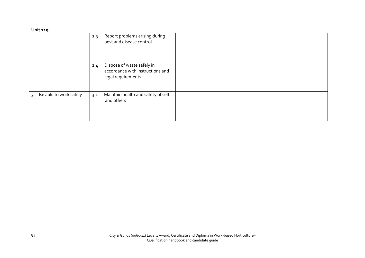| Unit 119                     |                                                                                             |  |
|------------------------------|---------------------------------------------------------------------------------------------|--|
|                              | Report problems arising during<br>2.3<br>pest and disease control                           |  |
|                              | Dispose of waste safely in<br>2.4<br>accordance with instructions and<br>legal requirements |  |
| Be able to work safely<br>3. | Maintain health and safety of self<br>3.1<br>and others                                     |  |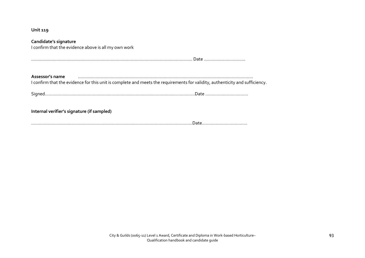## **Candidate's signature**

I confirm that the evidence above is all my own work

|--|

| Assessor's name |  |
|-----------------|--|
|-----------------|--|

I confirm that the evidence for this unit is complete and meets the requirements for validity, authenticity and sufficiency.

| - |
|---|
|---|

**Internal verifier's signature (if sampled)**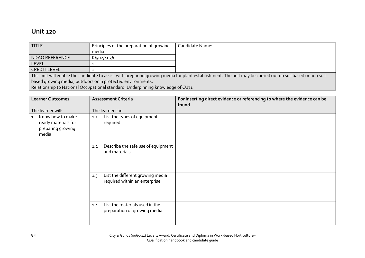| <b>TITLE</b>                                                                                                                                              | Principles of the preparation of growing | Candidate Name: |  |
|-----------------------------------------------------------------------------------------------------------------------------------------------------------|------------------------------------------|-----------------|--|
|                                                                                                                                                           | media                                    |                 |  |
| NDAQ REFERENCE                                                                                                                                            | K/502/4036                               |                 |  |
| <b>LEVEL</b>                                                                                                                                              |                                          |                 |  |
| <b>CREDIT LEVEL</b>                                                                                                                                       |                                          |                 |  |
| This unit will enable the candidate to assist with preparing growing media for plant establishment. The unit may be carried out on soil based or non soil |                                          |                 |  |
| based growing media; outdoors or in protected environments.                                                                                               |                                          |                 |  |
| Relationship to National Occupational standard: Underpinning knowledge of CU71                                                                            |                                          |                 |  |

| <b>Learner Outcomes</b>                                                     | <b>Assessment Criteria</b>                                               | For inserting direct evidence or referencing to where the evidence can be |
|-----------------------------------------------------------------------------|--------------------------------------------------------------------------|---------------------------------------------------------------------------|
| The learner will:                                                           | The learner can:                                                         | found                                                                     |
| Know how to make<br>1.<br>ready materials for<br>preparing growing<br>media | List the types of equipment<br>1.1<br>required                           |                                                                           |
|                                                                             | Describe the safe use of equipment<br>1.2<br>and materials               |                                                                           |
|                                                                             | List the different growing media<br>1.3<br>required within an enterprise |                                                                           |
|                                                                             | List the materials used in the<br>1.4<br>preparation of growing media    |                                                                           |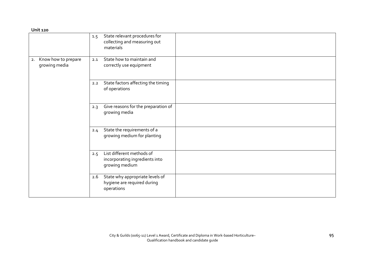|    | <b>Unit 120</b>                      |     |                                                                               |  |
|----|--------------------------------------|-----|-------------------------------------------------------------------------------|--|
|    |                                      | 1.5 | State relevant procedures for<br>collecting and measuring out<br>materials    |  |
| 2. | Know how to prepare<br>growing media | 2.1 | State how to maintain and<br>correctly use equipment                          |  |
|    |                                      | 2.2 | State factors affecting the timing<br>of operations                           |  |
|    |                                      | 2.3 | Give reasons for the preparation of<br>growing media                          |  |
|    |                                      | 2.4 | State the requirements of a<br>growing medium for planting                    |  |
|    |                                      | 2.5 | List different methods of<br>incorporating ingredients into<br>growing medium |  |
|    |                                      | 2.6 | State why appropriate levels of<br>hygiene are required during<br>operations  |  |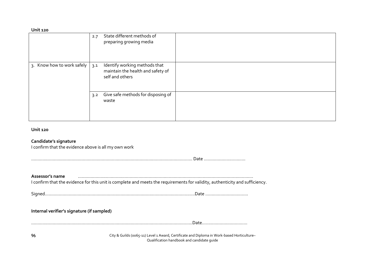|                            | 2.7 | State different methods of<br>preparing growing media                                 |  |
|----------------------------|-----|---------------------------------------------------------------------------------------|--|
| 3. Know how to work safely | 3.1 | Identify working methods that<br>maintain the health and safety of<br>self and others |  |
|                            | 3.2 | Give safe methods for disposing of<br>waste                                           |  |

#### **Unit 120**

#### **Candidate's signature**

I confirm that the evidence above is all my own work

……………………………………………………………………………………………………………….. Date …………………………...

#### **Assessor's name** ………………………………………………………………………………………………………………………….

I confirm that the evidence for this unit is complete and meets the requirements for validity, authenticity and sufficiency.

Signed………………………………………………………………………………………………………..Date …………………………….

| Internal verifier's signature (if sampled) |  |
|--------------------------------------------|--|
|                                            |  |

………………………………………………………………………………………………………………..Date………………………………

City & Guilds (0065-11) Level 1 Award, Certificate and Diploma in Work-based Horticulture– Qualification handbook and candidate guide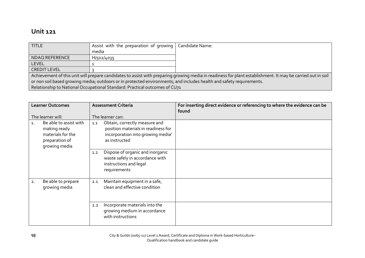| <b>TITLE</b>                                                                                                                                                | Assist with the preparation of growing | Candidate Name: |  |
|-------------------------------------------------------------------------------------------------------------------------------------------------------------|----------------------------------------|-----------------|--|
|                                                                                                                                                             | media                                  |                 |  |
| NDAQ REFERENCE                                                                                                                                              | H/502/4035                             |                 |  |
| <b>LEVEL</b>                                                                                                                                                |                                        |                 |  |
| <b>CREDIT LEVEL</b>                                                                                                                                         |                                        |                 |  |
| Achievement of this unit will prepare candidates to assist with preparing growing media in readiness for plant establishment. It may be carried out in soil |                                        |                 |  |
| or non soil based growing media; outdoors or in protected environments; and includes health and safety requirements.                                        |                                        |                 |  |
| Relationship to National Occupational Standard: Practical outcomes of CU71                                                                                  |                                        |                 |  |

| <b>Assessment Criteria</b><br><b>Learner Outcomes</b> |                                                                                                |                                                                                                                                   | For inserting direct evidence or referencing to where the evidence can be<br>found |
|-------------------------------------------------------|------------------------------------------------------------------------------------------------|-----------------------------------------------------------------------------------------------------------------------------------|------------------------------------------------------------------------------------|
|                                                       | The learner will:                                                                              | The learner can:                                                                                                                  |                                                                                    |
| 1.                                                    | Be able to assist with<br>making ready<br>materials for the<br>preparation of<br>growing media | Obtain, correctly measure and<br>1.1<br>position materials in readiness for<br>incorporation into growing media'<br>as instructed |                                                                                    |
|                                                       |                                                                                                | Dispose of organic and inorganic<br>1.2<br>waste safely in accordance with<br>instructions and legal<br>requirements              |                                                                                    |
| 2.                                                    | Be able to prepare<br>growing media                                                            | Maintain equipment in a safe,<br>2.1<br>clean and effective condition                                                             |                                                                                    |
|                                                       |                                                                                                | Incorporate materials into the<br>2.2<br>growing medium in accordance<br>with instructions                                        |                                                                                    |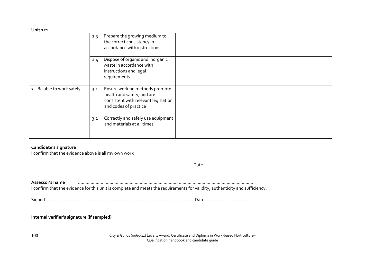|                           | 2.3 | Prepare the growing medium to<br>the correct consistency in<br>accordance with instructions                                   |  |
|---------------------------|-----|-------------------------------------------------------------------------------------------------------------------------------|--|
|                           | 2.4 | Dispose of organic and inorganic<br>waste in accordance with<br>instructions and legal<br>requirements                        |  |
| 3. Be able to work safely | 3.1 | Ensure working methods promote<br>health and safety, and are<br>consistent with relevant legislation<br>and codes of practice |  |
|                           | 3.2 | Correctly and safely use equipment<br>and materials at all times                                                              |  |

#### **Candidate's signature**

I confirm that the evidence above is all my own work

……………………………………………………………………………………………………………….. Date …………………………...

**Assessor's name** ………………………………………………………………………………………………………………………….

I confirm that the evidence for this unit is complete and meets the requirements for validity, authenticity and sufficiency.

Signed………………………………………………………………………………………………………..Date …………………………….

**Internal verifier's signature (if sampled)**

City & Guilds (0065-11) Level 1 Award, Certificate and Diploma in Work-based Horticulture– Qualification handbook and candidate guide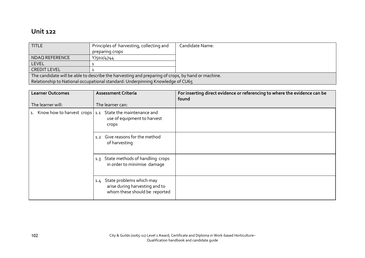| <b>TITLE</b>                                                                                      | Principles of harvesting, collecting and | Candidate Name: |  |
|---------------------------------------------------------------------------------------------------|------------------------------------------|-----------------|--|
|                                                                                                   | preparing crops                          |                 |  |
| NDAQ REFERENCE                                                                                    | Y/502/4744                               |                 |  |
| <b>LEVEL</b>                                                                                      |                                          |                 |  |
| <b>CREDIT LEVEL</b>                                                                               |                                          |                 |  |
| The candidate will be able to describe the harvesting and preparing of crops, by hand or machine. |                                          |                 |  |
| Relationship to National occupational standard: Underpinning Knowledge of CU65                    |                                          |                 |  |

| <b>Learner Outcomes</b>            | <b>Assessment Criteria</b>                                                                      | For inserting direct evidence or referencing to where the evidence can be<br>found |
|------------------------------------|-------------------------------------------------------------------------------------------------|------------------------------------------------------------------------------------|
| The learner will:                  | The learner can:                                                                                |                                                                                    |
| 1. Know how to harvest crops   1.1 | State the maintenance and<br>use of equipment to harvest<br>crops                               |                                                                                    |
|                                    | Give reasons for the method<br>1.2<br>of harvesting                                             |                                                                                    |
|                                    | 1.3 State methods of handling crops<br>in order to minimise damage                              |                                                                                    |
|                                    | 1.4 State problems which may<br>arise during harvesting and to<br>whom these should be reported |                                                                                    |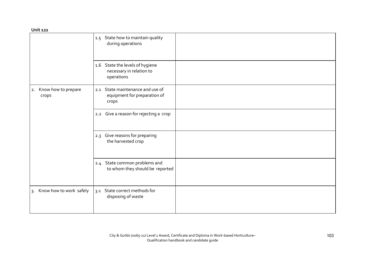| <b>Unit 122</b>                 |                                                                           |  |
|---------------------------------|---------------------------------------------------------------------------|--|
|                                 | 1.5 State how to maintain quality<br>during operations                    |  |
|                                 | 1.6 State the levels of hygiene<br>necessary in relation to<br>operations |  |
| 2. Know how to prepare<br>crops | 2.1 State maintenance and use of<br>equipment for preparation of<br>crops |  |
|                                 | 2.2 Give a reason for rejecting a crop                                    |  |
|                                 | 2.3 Give reasons for preparing<br>the harvested crop                      |  |
|                                 | 2.4 State common problems and<br>to whom they should be reported          |  |
| 3. Know how to work safely      | 3.1 State correct methods for<br>disposing of waste                       |  |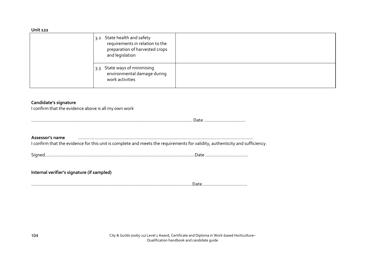| <b>Unit 122</b> |                                                                                                                     |  |
|-----------------|---------------------------------------------------------------------------------------------------------------------|--|
|                 | 3.2 State health and safety<br>requirements in relation to the<br>preparation of harvested crops<br>and legislation |  |
|                 | State ways of minimising<br>3.3<br>environmental damage during<br>work activities                                   |  |

#### **Candidate's signature**

I confirm that the evidence above is all my own work

……………………………………………………………………………………………………………….. Date …………………………...

**Assessor's name** ………………………………………………………………………………………………………………………….

I confirm that the evidence for this unit is complete and meets the requirements for validity, authenticity and sufficiency.

**Internal verifier's signature (if sampled)**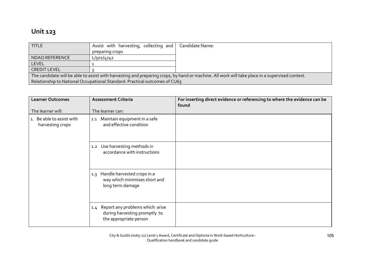| <b>TITLE</b>                                                                                                                                    | Assist with harvesting, collecting and | Candidate Name: |  |
|-------------------------------------------------------------------------------------------------------------------------------------------------|----------------------------------------|-----------------|--|
|                                                                                                                                                 | preparing crops                        |                 |  |
| NDAQ REFERENCE                                                                                                                                  | L/502/4742                             |                 |  |
| <b>LEVEL</b>                                                                                                                                    |                                        |                 |  |
| <b>CREDIT LEVEL</b>                                                                                                                             |                                        |                 |  |
| The candidate will be able to assist with harvesting and preparing crops, by hand or machine. All work will take place in a supervised context. |                                        |                 |  |
| Relationship to National Occupational Standard: Practical outcomes of CU65                                                                      |                                        |                 |  |

| <b>Learner Outcomes</b>                       | <b>Assessment Criteria</b>                                                                     | For inserting direct evidence or referencing to where the evidence can be |
|-----------------------------------------------|------------------------------------------------------------------------------------------------|---------------------------------------------------------------------------|
| The learner will:                             | The learner can:                                                                               | found                                                                     |
| 1. Be able to assist with<br>harvesting crops | 1.1 Maintain equipment in a safe<br>and effective condition                                    |                                                                           |
|                                               | Use harvesting methods in<br>1.2<br>accordance with instructions                               |                                                                           |
|                                               | Handle harvested crops in a<br>1.3<br>way which minimises short and<br>long term damage        |                                                                           |
|                                               | 1.4 Report any problems which arise<br>during harvesting promptly to<br>the appropriate person |                                                                           |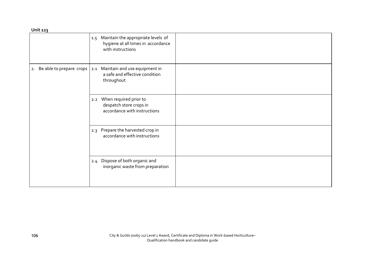| Unit 123                                |                                                                                                      |
|-----------------------------------------|------------------------------------------------------------------------------------------------------|
|                                         | Maintain the appropriate levels of<br>1.5<br>hygiene at all times in accordance<br>with instructions |
| 2. Be able to prepare crops $\vert$ 2.1 | Maintain and use equipment in<br>a safe and effective condition<br>throughout                        |
|                                         | 2.2 When required prior to<br>despatch store crops in<br>accordance with instructions                |
|                                         | Prepare the harvested crop in<br>2.3<br>accordance with instructions                                 |
|                                         | 2.4 Dispose of both organic and<br>inorganic waste from preparation                                  |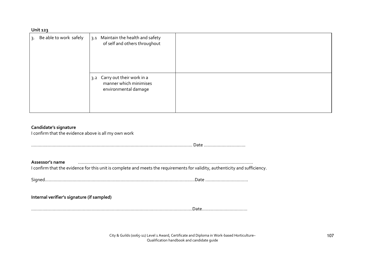|    | Unit 123               |  |                                                                                 |  |  |
|----|------------------------|--|---------------------------------------------------------------------------------|--|--|
| 3. | Be able to work safely |  | 3.1 Maintain the health and safety<br>of self and others throughout             |  |  |
|    |                        |  | 3.2 Carry out their work in a<br>manner which minimises<br>environmental damage |  |  |

#### **Candidate's signature**

I confirm that the evidence above is all my own work

……………………………………………………………………………………………………………….. Date …………………………...

#### **Assessor's name** ………………………………………………………………………………………………………………………….

I confirm that the evidence for this unit is complete and meets the requirements for validity, authenticity and sufficiency.

Signed………………………………………………………………………………………………………..Date …………………………….

|  |  |  | Internal verifier's signature (if sampled) |
|--|--|--|--------------------------------------------|
|--|--|--|--------------------------------------------|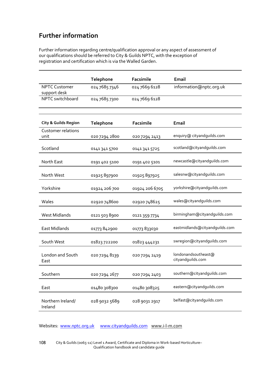# **Further information**

Further information regarding centre/qualification approval or any aspect of assessment of our qualifications should be referred to City & Guilds NPTC, with the exception of registration and certification which is via the Walled Garden.

|                                      | Telephone     | Facsimile      | Email                                    |
|--------------------------------------|---------------|----------------|------------------------------------------|
| <b>NPTC Customer</b><br>support desk | 024 7685 7346 | 024 7669 6128  | information@nptc.org.uk                  |
| NPTC switchboard                     | 024 7685 7300 | 024 7669 6128  |                                          |
|                                      |               |                |                                          |
| <b>City &amp; Guilds Region</b>      | Telephone     | Facsimile      | Email                                    |
| <b>Customer relations</b><br>unit    | 020 7294 2800 | 020 7294 2413  | enquiry@ cityandguilds.com               |
| Scotland                             | 0141 341 5700 | 0141 341 5725  | scotland@cityandguilds.com               |
| North East                           | 0191 402 5100 | 0191 402 5101  | newcastle@cityandquilds.com              |
| North West                           | 01925 897900  | 01925 897925   | salesnw@cityandguilds.com                |
| Yorkshire                            | 01924 206 700 | 01924 206 6705 | yorkshire@cityandquilds.com              |
| Wales                                | 02920748600   | 02920748625    | wales@cityandguilds.com                  |
| <b>West Midlands</b>                 | 0121 503 8900 | 0121 359 7734  | birmingham@cityandguilds.com             |
| East Midlands                        | 01773 842900  | 01773 833030   | eastmidlands@cityandguilds.com           |
| South West                           | 01823722200   | 01823 444231   | swregion@cityandquilds.com               |
| London and South<br>East             | 020 7294 8139 | 020 7294 2419  | londonandsoutheast@<br>cityandguilds.com |
| Southern                             | 020 7294 2677 | 020 7294 2403  | southern@cityandguilds.com               |
| East                                 | 01480308300   | 01480308325    | eastern@cityandquilds.com                |
| Northern Ireland/<br>Ireland         | 028 9032 5689 | 028 9031 2917  | belfast@cityandguilds.com                |

Websites: [www.nptc.org.uk](http://www.nptc.org.uk/) [www.cityandguilds.com](http://www.cityandguilds.com/) www.i-l-m.com

City & Guilds (0065-11) Level 1 Award, Certificate and Diploma in Work-based Horticulture– Qualification handbook and candidate guide 108